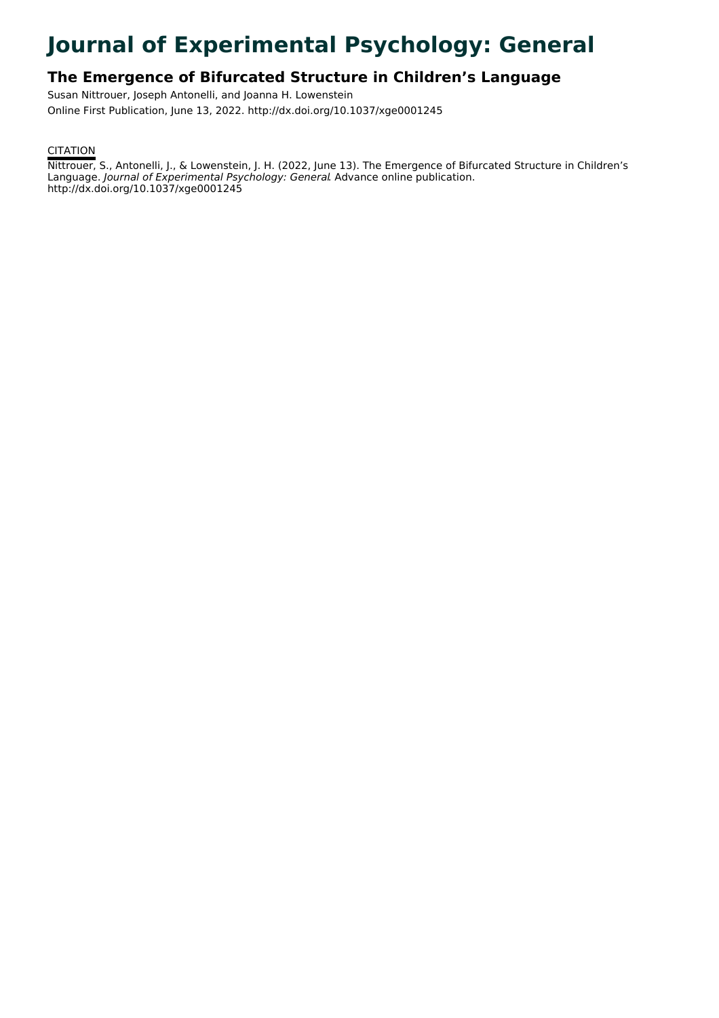# **Journal of Experimental Psychology: General**

# **The Emergence of Bifurcated Structure in Children's Language**

Susan Nittrouer, Joseph Antonelli, and Joanna H. Lowenstein Online First Publication, June 13, 2022. http://dx.doi.org/10.1037/xge0001245

## **CITATION**

Nittrouer, S., Antonelli, J., & Lowenstein, J. H. (2022, June 13). The Emergence of Bifurcated Structure in Children's Language. Journal of Experimental Psychology: General. Advance online publication. http://dx.doi.org/10.1037/xge0001245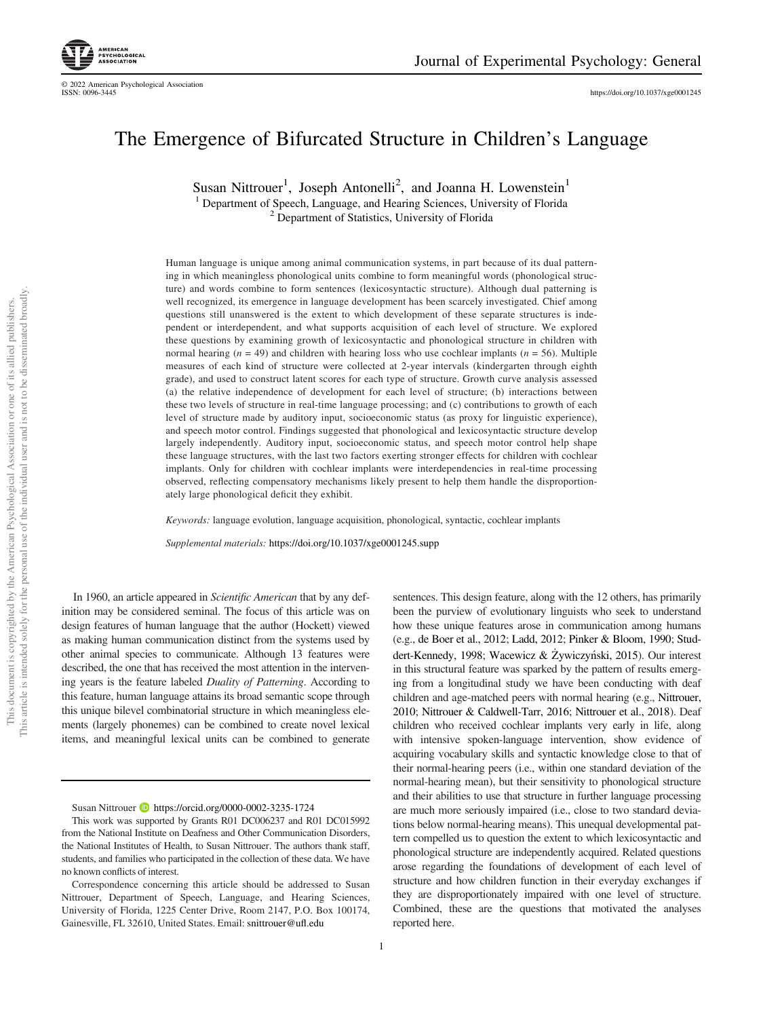

© 2022 American Psychological Association

<https://doi.org/10.1037/xge0001245>

# The Emergence of Bifurcated Structure in Children's Language

Susan Nittrouer<sup>1</sup>, Joseph Antonelli<sup>2</sup>, and Joanna H. Lowenstein<sup>1</sup>

<sup>1</sup> Department of Speech, Language, and Hearing Sciences, University of Florida <sup>2</sup> Department of Statistics, University of Florida

Human language is unique among animal communication systems, in part because of its dual patterning in which meaningless phonological units combine to form meaningful words (phonological structure) and words combine to form sentences (lexicosyntactic structure). Although dual patterning is well recognized, its emergence in language development has been scarcely investigated. Chief among questions still unanswered is the extent to which development of these separate structures is independent or interdependent, and what supports acquisition of each level of structure. We explored these questions by examining growth of lexicosyntactic and phonological structure in children with normal hearing ( $n = 49$ ) and children with hearing loss who use cochlear implants ( $n = 56$ ). Multiple measures of each kind of structure were collected at 2-year intervals (kindergarten through eighth grade), and used to construct latent scores for each type of structure. Growth curve analysis assessed (a) the relative independence of development for each level of structure; (b) interactions between these two levels of structure in real-time language processing; and (c) contributions to growth of each level of structure made by auditory input, socioeconomic status (as proxy for linguistic experience), and speech motor control. Findings suggested that phonological and lexicosyntactic structure develop largely independently. Auditory input, socioeconomic status, and speech motor control help shape these language structures, with the last two factors exerting stronger effects for children with cochlear implants. Only for children with cochlear implants were interdependencies in real-time processing observed, reflecting compensatory mechanisms likely present to help them handle the disproportionately large phonological deficit they exhibit.

Keywords: language evolution, language acquisition, phonological, syntactic, cochlear implants

Supplemental materials: <https://doi.org/10.1037/xge0001245.supp>

In 1960, an article appeared in Scientific American that by any definition may be considered seminal. The focus of this article was on design features of human language that the author (Hockett) viewed as making human communication distinct from the systems used by other animal species to communicate. Although 13 features were described, the one that has received the most attention in the intervening years is the feature labeled Duality of Patterning. According to this feature, human language attains its broad semantic scope through this unique bilevel combinatorial structure in which meaningless elements (largely phonemes) can be combined to create novel lexical items, and meaningful lexical units can be combined to generate

1

sentences. This design feature, along with the 12 others, has primarily been the purview of evolutionary linguists who seek to understand how these unique features arose in communication among humans (e.g., de Boer et al., 2012; Ladd, 2012; Pinker & Bloom, 1990; Studdert-Kennedy, 1998; Wacewicz & Żywiczyński, 2015). Our interest in this structural feature was sparked by the pattern of results emerging from a longitudinal study we have been conducting with deaf children and age-matched peers with normal hearing (e.g., Nittrouer, 2010; Nittrouer & Caldwell-Tarr, 2016; Nittrouer et al., 2018). Deaf children who received cochlear implants very early in life, along with intensive spoken-language intervention, show evidence of acquiring vocabulary skills and syntactic knowledge close to that of their normal-hearing peers (i.e., within one standard deviation of the normal-hearing mean), but their sensitivity to phonological structure and their abilities to use that structure in further language processing are much more seriously impaired (i.e., close to two standard deviations below normal-hearing means). This unequal developmental pattern compelled us to question the extent to which lexicosyntactic and phonological structure are independently acquired. Related questions arose regarding the foundations of development of each level of structure and how children function in their everyday exchanges if they are disproportionately impaired with one level of structure. Combined, these are the questions that motivated the analyses reported here.

Susan Nittrouer **b** <https://orcid.org/0000-0002-3235-1724>

This work was supported by Grants R01 DC006237 and R01 DC015992 from the National Institute on Deafness and Other Communication Disorders, the National Institutes of Health, to Susan Nittrouer. The authors thank staff students, and families who participated in the collection of these data. We have no known conflicts of interest.

Correspondence concerning this article should be addressed to Susan Nittrouer, Department of Speech, Language, and Hearing Sciences, University of Florida, 1225 Center Drive, Room 2147, P.O. Box 100174, Gainesville, FL 32610, United States. Email: [snittrouer@u](mailto:snittrouer@ufl.edu)fl.edu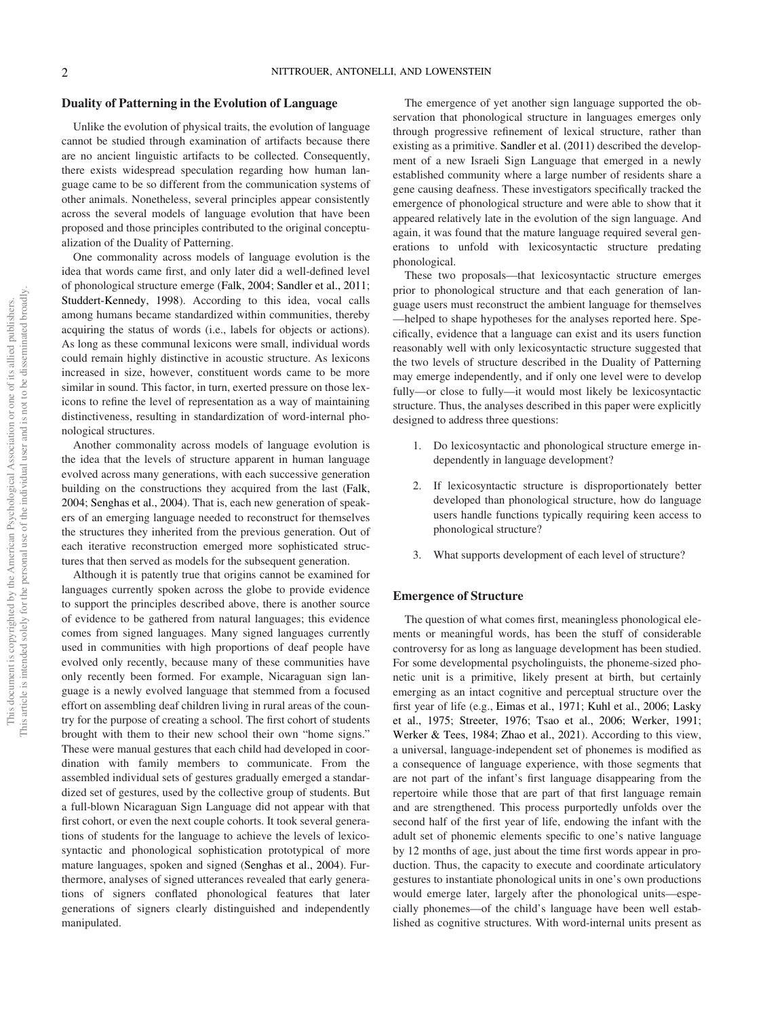### Duality of Patterning in the Evolution of Language

Unlike the evolution of physical traits, the evolution of language cannot be studied through examination of artifacts because there are no ancient linguistic artifacts to be collected. Consequently, there exists widespread speculation regarding how human language came to be so different from the communication systems of other animals. Nonetheless, several principles appear consistently across the several models of language evolution that have been proposed and those principles contributed to the original conceptualization of the Duality of Patterning.

One commonality across models of language evolution is the idea that words came first, and only later did a well-defined level of phonological structure emerge (Falk, 2004; Sandler et al., 2011; Studdert-Kennedy, 1998). According to this idea, vocal calls among humans became standardized within communities, thereby acquiring the status of words (i.e., labels for objects or actions). As long as these communal lexicons were small, individual words could remain highly distinctive in acoustic structure. As lexicons increased in size, however, constituent words came to be more similar in sound. This factor, in turn, exerted pressure on those lexicons to refine the level of representation as a way of maintaining distinctiveness, resulting in standardization of word-internal phonological structures.

Another commonality across models of language evolution is the idea that the levels of structure apparent in human language evolved across many generations, with each successive generation building on the constructions they acquired from the last (Falk, 2004; Senghas et al., 2004). That is, each new generation of speakers of an emerging language needed to reconstruct for themselves the structures they inherited from the previous generation. Out of each iterative reconstruction emerged more sophisticated structures that then served as models for the subsequent generation.

Although it is patently true that origins cannot be examined for languages currently spoken across the globe to provide evidence to support the principles described above, there is another source of evidence to be gathered from natural languages; this evidence comes from signed languages. Many signed languages currently used in communities with high proportions of deaf people have evolved only recently, because many of these communities have only recently been formed. For example, Nicaraguan sign language is a newly evolved language that stemmed from a focused effort on assembling deaf children living in rural areas of the country for the purpose of creating a school. The first cohort of students brought with them to their new school their own "home signs." These were manual gestures that each child had developed in coordination with family members to communicate. From the assembled individual sets of gestures gradually emerged a standardized set of gestures, used by the collective group of students. But a full-blown Nicaraguan Sign Language did not appear with that first cohort, or even the next couple cohorts. It took several generations of students for the language to achieve the levels of lexicosyntactic and phonological sophistication prototypical of more mature languages, spoken and signed (Senghas et al., 2004). Furthermore, analyses of signed utterances revealed that early generations of signers conflated phonological features that later generations of signers clearly distinguished and independently manipulated.

The emergence of yet another sign language supported the observation that phonological structure in languages emerges only through progressive refinement of lexical structure, rather than existing as a primitive. Sandler et al. (2011) described the development of a new Israeli Sign Language that emerged in a newly established community where a large number of residents share a gene causing deafness. These investigators specifically tracked the emergence of phonological structure and were able to show that it appeared relatively late in the evolution of the sign language. And again, it was found that the mature language required several generations to unfold with lexicosyntactic structure predating phonological.

These two proposals—that lexicosyntactic structure emerges prior to phonological structure and that each generation of language users must reconstruct the ambient language for themselves —helped to shape hypotheses for the analyses reported here. Specifically, evidence that a language can exist and its users function reasonably well with only lexicosyntactic structure suggested that the two levels of structure described in the Duality of Patterning may emerge independently, and if only one level were to develop fully—or close to fully—it would most likely be lexicosyntactic structure. Thus, the analyses described in this paper were explicitly designed to address three questions:

- 1. Do lexicosyntactic and phonological structure emerge independently in language development?
- 2. If lexicosyntactic structure is disproportionately better developed than phonological structure, how do language users handle functions typically requiring keen access to phonological structure?
- What supports development of each level of structure?

### Emergence of Structure

The question of what comes first, meaningless phonological elements or meaningful words, has been the stuff of considerable controversy for as long as language development has been studied. For some developmental psycholinguists, the phoneme-sized phonetic unit is a primitive, likely present at birth, but certainly emerging as an intact cognitive and perceptual structure over the first year of life (e.g., Eimas et al., 1971; Kuhl et al., 2006; Lasky et al., 1975; Streeter, 1976; Tsao et al., 2006; Werker, 1991; Werker & Tees, 1984; Zhao et al., 2021). According to this view, a universal, language-independent set of phonemes is modified as a consequence of language experience, with those segments that are not part of the infant's first language disappearing from the repertoire while those that are part of that first language remain and are strengthened. This process purportedly unfolds over the second half of the first year of life, endowing the infant with the adult set of phonemic elements specific to one's native language by 12 months of age, just about the time first words appear in production. Thus, the capacity to execute and coordinate articulatory gestures to instantiate phonological units in one's own productions would emerge later, largely after the phonological units—especially phonemes—of the child's language have been well established as cognitive structures. With word-internal units present as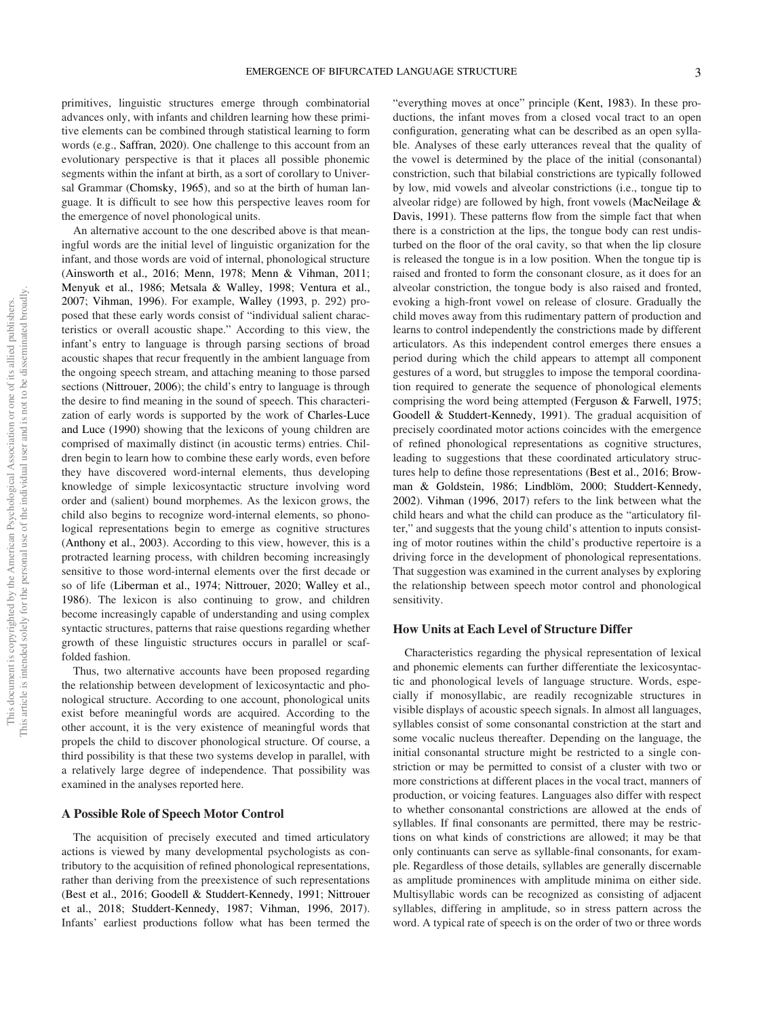primitives, linguistic structures emerge through combinatorial advances only, with infants and children learning how these primitive elements can be combined through statistical learning to form words (e.g., Saffran, 2020). One challenge to this account from an evolutionary perspective is that it places all possible phonemic segments within the infant at birth, as a sort of corollary to Universal Grammar (Chomsky, 1965), and so at the birth of human language. It is difficult to see how this perspective leaves room for the emergence of novel phonological units.

An alternative account to the one described above is that meaningful words are the initial level of linguistic organization for the infant, and those words are void of internal, phonological structure (Ainsworth et al., 2016; Menn, 1978; Menn & Vihman, 2011; Menyuk et al., 1986; Metsala & Walley, 1998; Ventura et al., 2007; Vihman, 1996). For example, Walley (1993, p. 292) proposed that these early words consist of "individual salient characteristics or overall acoustic shape." According to this view, the infant's entry to language is through parsing sections of broad acoustic shapes that recur frequently in the ambient language from the ongoing speech stream, and attaching meaning to those parsed sections (Nittrouer, 2006); the child's entry to language is through the desire to find meaning in the sound of speech. This characterization of early words is supported by the work of Charles-Luce and Luce (1990) showing that the lexicons of young children are comprised of maximally distinct (in acoustic terms) entries. Children begin to learn how to combine these early words, even before they have discovered word-internal elements, thus developing knowledge of simple lexicosyntactic structure involving word order and (salient) bound morphemes. As the lexicon grows, the child also begins to recognize word-internal elements, so phonological representations begin to emerge as cognitive structures (Anthony et al., 2003). According to this view, however, this is a protracted learning process, with children becoming increasingly sensitive to those word-internal elements over the first decade or so of life (Liberman et al., 1974; Nittrouer, 2020; Walley et al., 1986). The lexicon is also continuing to grow, and children become increasingly capable of understanding and using complex syntactic structures, patterns that raise questions regarding whether growth of these linguistic structures occurs in parallel or scaffolded fashion.

Thus, two alternative accounts have been proposed regarding the relationship between development of lexicosyntactic and phonological structure. According to one account, phonological units exist before meaningful words are acquired. According to the other account, it is the very existence of meaningful words that propels the child to discover phonological structure. Of course, a third possibility is that these two systems develop in parallel, with a relatively large degree of independence. That possibility was examined in the analyses reported here.

### A Possible Role of Speech Motor Control

The acquisition of precisely executed and timed articulatory actions is viewed by many developmental psychologists as contributory to the acquisition of refined phonological representations, rather than deriving from the preexistence of such representations (Best et al., 2016; Goodell & Studdert-Kennedy, 1991; Nittrouer et al., 2018; Studdert-Kennedy, 1987; Vihman, 1996, 2017). Infants' earliest productions follow what has been termed the

"everything moves at once" principle (Kent, 1983). In these productions, the infant moves from a closed vocal tract to an open configuration, generating what can be described as an open syllable. Analyses of these early utterances reveal that the quality of the vowel is determined by the place of the initial (consonantal) constriction, such that bilabial constrictions are typically followed by low, mid vowels and alveolar constrictions (i.e., tongue tip to alveolar ridge) are followed by high, front vowels (MacNeilage & Davis, 1991). These patterns flow from the simple fact that when there is a constriction at the lips, the tongue body can rest undisturbed on the floor of the oral cavity, so that when the lip closure is released the tongue is in a low position. When the tongue tip is raised and fronted to form the consonant closure, as it does for an alveolar constriction, the tongue body is also raised and fronted, evoking a high-front vowel on release of closure. Gradually the child moves away from this rudimentary pattern of production and learns to control independently the constrictions made by different articulators. As this independent control emerges there ensues a period during which the child appears to attempt all component gestures of a word, but struggles to impose the temporal coordination required to generate the sequence of phonological elements comprising the word being attempted (Ferguson & Farwell, 1975; Goodell & Studdert-Kennedy, 1991). The gradual acquisition of precisely coordinated motor actions coincides with the emergence of refined phonological representations as cognitive structures, leading to suggestions that these coordinated articulatory structures help to define those representations (Best et al., 2016; Browman & Goldstein, 1986; Lindblöm, 2000; Studdert-Kennedy, 2002). Vihman (1996, 2017) refers to the link between what the child hears and what the child can produce as the "articulatory filter," and suggests that the young child's attention to inputs consisting of motor routines within the child's productive repertoire is a driving force in the development of phonological representations. That suggestion was examined in the current analyses by exploring the relationship between speech motor control and phonological sensitivity.

### How Units at Each Level of Structure Differ

Characteristics regarding the physical representation of lexical and phonemic elements can further differentiate the lexicosyntactic and phonological levels of language structure. Words, especially if monosyllabic, are readily recognizable structures in visible displays of acoustic speech signals. In almost all languages, syllables consist of some consonantal constriction at the start and some vocalic nucleus thereafter. Depending on the language, the initial consonantal structure might be restricted to a single constriction or may be permitted to consist of a cluster with two or more constrictions at different places in the vocal tract, manners of production, or voicing features. Languages also differ with respect to whether consonantal constrictions are allowed at the ends of syllables. If final consonants are permitted, there may be restrictions on what kinds of constrictions are allowed; it may be that only continuants can serve as syllable-final consonants, for example. Regardless of those details, syllables are generally discernable as amplitude prominences with amplitude minima on either side. Multisyllabic words can be recognized as consisting of adjacent syllables, differing in amplitude, so in stress pattern across the word. A typical rate of speech is on the order of two or three words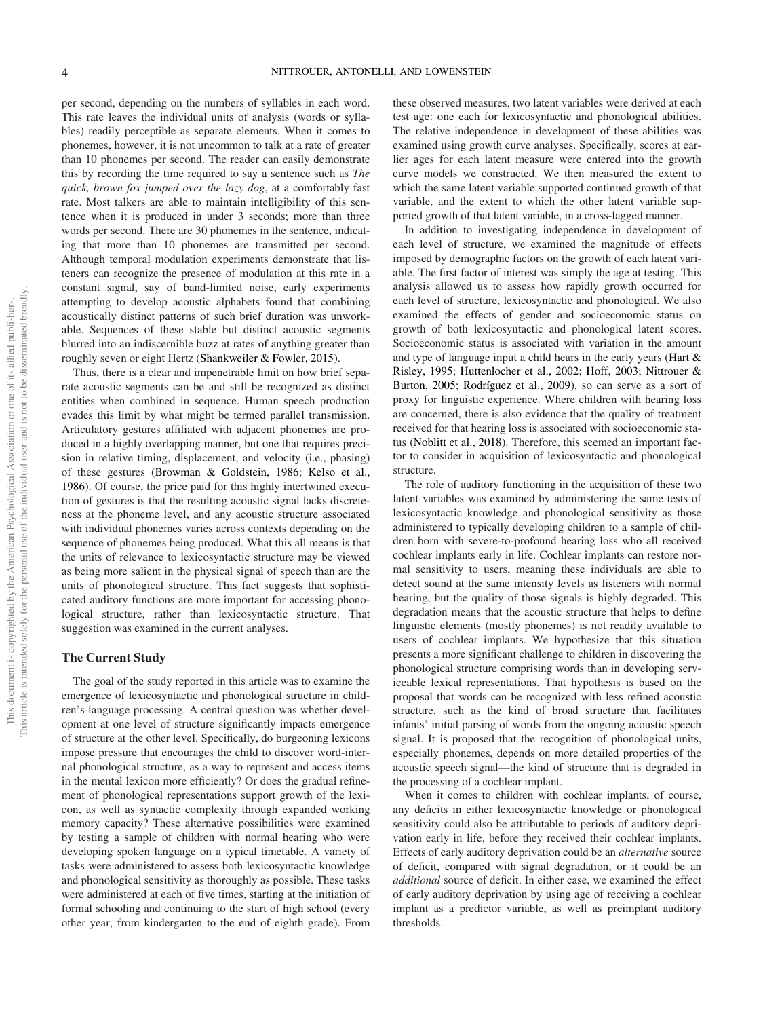per second, depending on the numbers of syllables in each word. This rate leaves the individual units of analysis (words or syllables) readily perceptible as separate elements. When it comes to phonemes, however, it is not uncommon to talk at a rate of greater than 10 phonemes per second. The reader can easily demonstrate this by recording the time required to say a sentence such as The quick, brown fox jumped over the lazy dog, at a comfortably fast rate. Most talkers are able to maintain intelligibility of this sentence when it is produced in under 3 seconds; more than three words per second. There are 30 phonemes in the sentence, indicating that more than 10 phonemes are transmitted per second. Although temporal modulation experiments demonstrate that listeners can recognize the presence of modulation at this rate in a constant signal, say of band-limited noise, early experiments attempting to develop acoustic alphabets found that combining acoustically distinct patterns of such brief duration was unworkable. Sequences of these stable but distinct acoustic segments blurred into an indiscernible buzz at rates of anything greater than roughly seven or eight Hertz (Shankweiler & Fowler, 2015).

Thus, there is a clear and impenetrable limit on how brief separate acoustic segments can be and still be recognized as distinct entities when combined in sequence. Human speech production evades this limit by what might be termed parallel transmission. Articulatory gestures affiliated with adjacent phonemes are produced in a highly overlapping manner, but one that requires precision in relative timing, displacement, and velocity (i.e., phasing) of these gestures (Browman & Goldstein, 1986; Kelso et al., 1986). Of course, the price paid for this highly intertwined execution of gestures is that the resulting acoustic signal lacks discreteness at the phoneme level, and any acoustic structure associated with individual phonemes varies across contexts depending on the sequence of phonemes being produced. What this all means is that the units of relevance to lexicosyntactic structure may be viewed as being more salient in the physical signal of speech than are the units of phonological structure. This fact suggests that sophisticated auditory functions are more important for accessing phonological structure, rather than lexicosyntactic structure. That suggestion was examined in the current analyses.

### The Current Study

The goal of the study reported in this article was to examine the emergence of lexicosyntactic and phonological structure in children's language processing. A central question was whether development at one level of structure significantly impacts emergence of structure at the other level. Specifically, do burgeoning lexicons impose pressure that encourages the child to discover word-internal phonological structure, as a way to represent and access items in the mental lexicon more efficiently? Or does the gradual refinement of phonological representations support growth of the lexicon, as well as syntactic complexity through expanded working memory capacity? These alternative possibilities were examined by testing a sample of children with normal hearing who were developing spoken language on a typical timetable. A variety of tasks were administered to assess both lexicosyntactic knowledge and phonological sensitivity as thoroughly as possible. These tasks were administered at each of five times, starting at the initiation of formal schooling and continuing to the start of high school (every other year, from kindergarten to the end of eighth grade). From these observed measures, two latent variables were derived at each test age: one each for lexicosyntactic and phonological abilities. The relative independence in development of these abilities was examined using growth curve analyses. Specifically, scores at earlier ages for each latent measure were entered into the growth curve models we constructed. We then measured the extent to which the same latent variable supported continued growth of that variable, and the extent to which the other latent variable supported growth of that latent variable, in a cross-lagged manner.

In addition to investigating independence in development of each level of structure, we examined the magnitude of effects imposed by demographic factors on the growth of each latent variable. The first factor of interest was simply the age at testing. This analysis allowed us to assess how rapidly growth occurred for each level of structure, lexicosyntactic and phonological. We also examined the effects of gender and socioeconomic status on growth of both lexicosyntactic and phonological latent scores. Socioeconomic status is associated with variation in the amount and type of language input a child hears in the early years (Hart & Risley, 1995; Huttenlocher et al., 2002; Hoff, 2003; Nittrouer & Burton, 2005; Rodríguez et al., 2009), so can serve as a sort of proxy for linguistic experience. Where children with hearing loss are concerned, there is also evidence that the quality of treatment received for that hearing loss is associated with socioeconomic status (Noblitt et al., 2018). Therefore, this seemed an important factor to consider in acquisition of lexicosyntactic and phonological structure.

The role of auditory functioning in the acquisition of these two latent variables was examined by administering the same tests of lexicosyntactic knowledge and phonological sensitivity as those administered to typically developing children to a sample of children born with severe-to-profound hearing loss who all received cochlear implants early in life. Cochlear implants can restore normal sensitivity to users, meaning these individuals are able to detect sound at the same intensity levels as listeners with normal hearing, but the quality of those signals is highly degraded. This degradation means that the acoustic structure that helps to define linguistic elements (mostly phonemes) is not readily available to users of cochlear implants. We hypothesize that this situation presents a more significant challenge to children in discovering the phonological structure comprising words than in developing serviceable lexical representations. That hypothesis is based on the proposal that words can be recognized with less refined acoustic structure, such as the kind of broad structure that facilitates infants' initial parsing of words from the ongoing acoustic speech signal. It is proposed that the recognition of phonological units, especially phonemes, depends on more detailed properties of the acoustic speech signal—the kind of structure that is degraded in the processing of a cochlear implant.

When it comes to children with cochlear implants, of course, any deficits in either lexicosyntactic knowledge or phonological sensitivity could also be attributable to periods of auditory deprivation early in life, before they received their cochlear implants. Effects of early auditory deprivation could be an alternative source of deficit, compared with signal degradation, or it could be an additional source of deficit. In either case, we examined the effect of early auditory deprivation by using age of receiving a cochlear implant as a predictor variable, as well as preimplant auditory thresholds.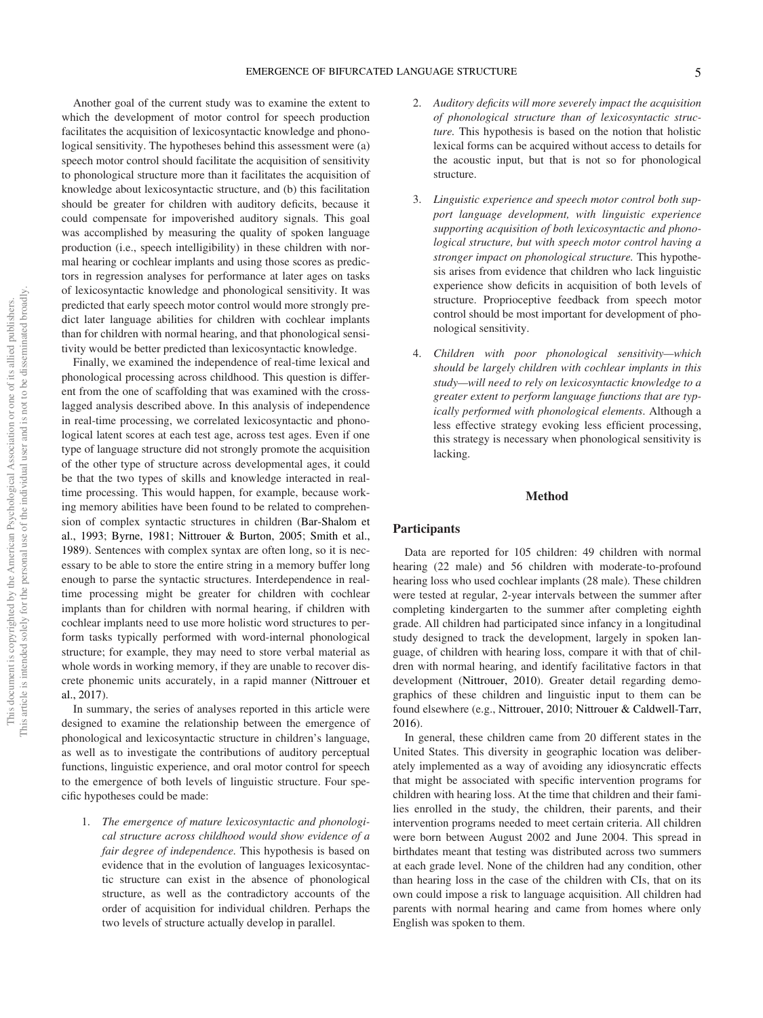Another goal of the current study was to examine the extent to which the development of motor control for speech production facilitates the acquisition of lexicosyntactic knowledge and phonological sensitivity. The hypotheses behind this assessment were (a) speech motor control should facilitate the acquisition of sensitivity to phonological structure more than it facilitates the acquisition of knowledge about lexicosyntactic structure, and (b) this facilitation should be greater for children with auditory deficits, because it could compensate for impoverished auditory signals. This goal was accomplished by measuring the quality of spoken language production (i.e., speech intelligibility) in these children with normal hearing or cochlear implants and using those scores as predictors in regression analyses for performance at later ages on tasks of lexicosyntactic knowledge and phonological sensitivity. It was predicted that early speech motor control would more strongly predict later language abilities for children with cochlear implants than for children with normal hearing, and that phonological sensitivity would be better predicted than lexicosyntactic knowledge.

Finally, we examined the independence of real-time lexical and phonological processing across childhood. This question is different from the one of scaffolding that was examined with the crosslagged analysis described above. In this analysis of independence in real-time processing, we correlated lexicosyntactic and phonological latent scores at each test age, across test ages. Even if one type of language structure did not strongly promote the acquisition of the other type of structure across developmental ages, it could be that the two types of skills and knowledge interacted in realtime processing. This would happen, for example, because working memory abilities have been found to be related to comprehension of complex syntactic structures in children (Bar-Shalom et al., 1993; Byrne, 1981; Nittrouer & Burton, 2005; Smith et al., 1989). Sentences with complex syntax are often long, so it is necessary to be able to store the entire string in a memory buffer long enough to parse the syntactic structures. Interdependence in realtime processing might be greater for children with cochlear implants than for children with normal hearing, if children with cochlear implants need to use more holistic word structures to perform tasks typically performed with word-internal phonological structure; for example, they may need to store verbal material as whole words in working memory, if they are unable to recover discrete phonemic units accurately, in a rapid manner (Nittrouer et al., 2017).

In summary, the series of analyses reported in this article were designed to examine the relationship between the emergence of phonological and lexicosyntactic structure in children's language, as well as to investigate the contributions of auditory perceptual functions, linguistic experience, and oral motor control for speech to the emergence of both levels of linguistic structure. Four specific hypotheses could be made:

1. The emergence of mature lexicosyntactic and phonological structure across childhood would show evidence of a fair degree of independence. This hypothesis is based on evidence that in the evolution of languages lexicosyntactic structure can exist in the absence of phonological structure, as well as the contradictory accounts of the order of acquisition for individual children. Perhaps the two levels of structure actually develop in parallel.

- 2. Auditory deficits will more severely impact the acquisition of phonological structure than of lexicosyntactic structure. This hypothesis is based on the notion that holistic lexical forms can be acquired without access to details for the acoustic input, but that is not so for phonological structure.
- Linguistic experience and speech motor control both support language development, with linguistic experience supporting acquisition of both lexicosyntactic and phonological structure, but with speech motor control having a stronger impact on phonological structure. This hypothesis arises from evidence that children who lack linguistic experience show deficits in acquisition of both levels of structure. Proprioceptive feedback from speech motor control should be most important for development of phonological sensitivity.
- 4. Children with poor phonological sensitivity—which should be largely children with cochlear implants in this study—will need to rely on lexicosyntactic knowledge to a greater extent to perform language functions that are typically performed with phonological elements. Although a less effective strategy evoking less efficient processing, this strategy is necessary when phonological sensitivity is lacking.

### Method

### **Participants**

Data are reported for 105 children: 49 children with normal hearing (22 male) and 56 children with moderate-to-profound hearing loss who used cochlear implants (28 male). These children were tested at regular, 2-year intervals between the summer after completing kindergarten to the summer after completing eighth grade. All children had participated since infancy in a longitudinal study designed to track the development, largely in spoken language, of children with hearing loss, compare it with that of children with normal hearing, and identify facilitative factors in that development (Nittrouer, 2010). Greater detail regarding demographics of these children and linguistic input to them can be found elsewhere (e.g., Nittrouer, 2010; Nittrouer & Caldwell-Tarr, 2016).

In general, these children came from 20 different states in the United States. This diversity in geographic location was deliberately implemented as a way of avoiding any idiosyncratic effects that might be associated with specific intervention programs for children with hearing loss. At the time that children and their families enrolled in the study, the children, their parents, and their intervention programs needed to meet certain criteria. All children were born between August 2002 and June 2004. This spread in birthdates meant that testing was distributed across two summers at each grade level. None of the children had any condition, other than hearing loss in the case of the children with CIs, that on its own could impose a risk to language acquisition. All children had parents with normal hearing and came from homes where only English was spoken to them.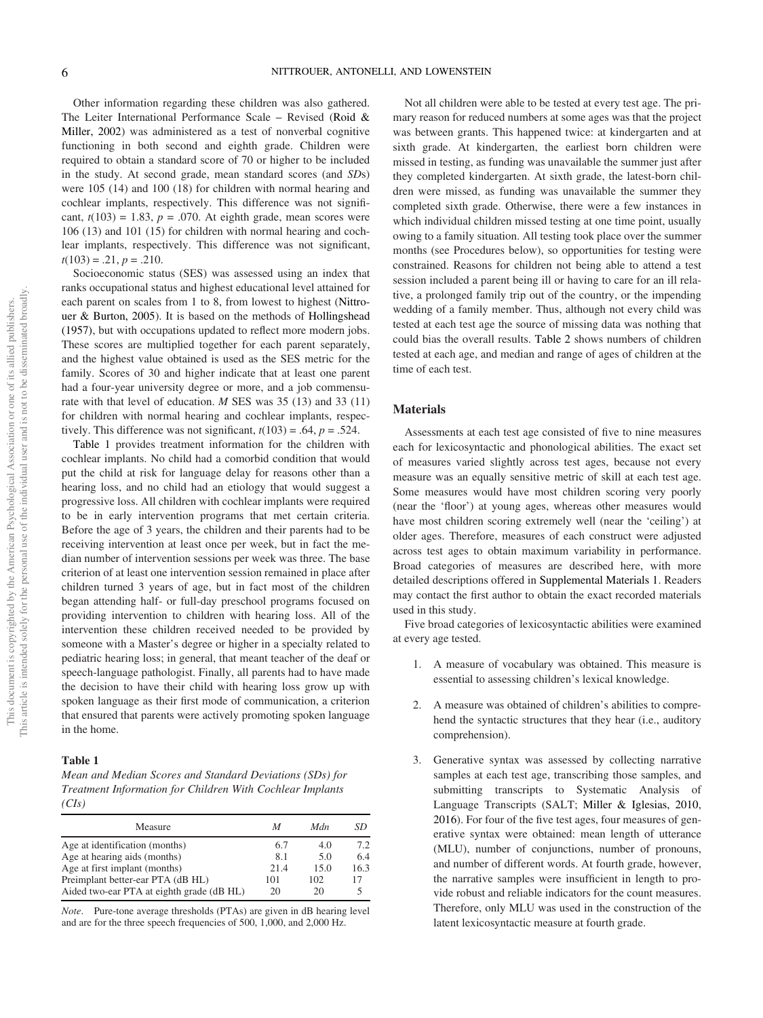Other information regarding these children was also gathered. The Leiter International Performance Scale – Revised (Roid & Miller, 2002) was administered as a test of nonverbal cognitive functioning in both second and eighth grade. Children were required to obtain a standard score of 70 or higher to be included in the study. At second grade, mean standard scores (and SDs) were 105 (14) and 100 (18) for children with normal hearing and cochlear implants, respectively. This difference was not significant,  $t(103) = 1.83$ ,  $p = .070$ . At eighth grade, mean scores were 106 (13) and 101 (15) for children with normal hearing and cochlear implants, respectively. This difference was not significant,  $t(103) = .21, p = .210.$ 

Socioeconomic status (SES) was assessed using an index that ranks occupational status and highest educational level attained for each parent on scales from 1 to 8, from lowest to highest (Nittrouer & Burton, 2005). It is based on the methods of Hollingshead (1957), but with occupations updated to reflect more modern jobs. These scores are multiplied together for each parent separately, and the highest value obtained is used as the SES metric for the family. Scores of 30 and higher indicate that at least one parent had a four-year university degree or more, and a job commensurate with that level of education. M SES was 35 (13) and 33 (11) for children with normal hearing and cochlear implants, respectively. This difference was not significant,  $t(103) = .64$ ,  $p = .524$ .

Table 1 provides treatment information for the children with cochlear implants. No child had a comorbid condition that would put the child at risk for language delay for reasons other than a hearing loss, and no child had an etiology that would suggest a progressive loss. All children with cochlear implants were required to be in early intervention programs that met certain criteria. Before the age of 3 years, the children and their parents had to be receiving intervention at least once per week, but in fact the median number of intervention sessions per week was three. The base criterion of at least one intervention session remained in place after children turned 3 years of age, but in fact most of the children began attending half- or full-day preschool programs focused on providing intervention to children with hearing loss. All of the intervention these children received needed to be provided by someone with a Master's degree or higher in a specialty related to pediatric hearing loss; in general, that meant teacher of the deaf or speech-language pathologist. Finally, all parents had to have made the decision to have their child with hearing loss grow up with spoken language as their first mode of communication, a criterion that ensured that parents were actively promoting spoken language in the home.

### Table 1

Mean and Median Scores and Standard Deviations (SDs) for Treatment Information for Children With Cochlear Implants  $(CIs)$ 

| Measure                                   | M    | Mdn  | SD   |
|-------------------------------------------|------|------|------|
| Age at identification (months)            | 6.7  | 4.0  | 7.2  |
| Age at hearing aids (months)              | 8.1  | 5.0  | 6.4  |
| Age at first implant (months)             | 21.4 | 15.0 | 16.3 |
| Preimplant better-ear PTA (dB HL)         | 101  | 102  | 17   |
| Aided two-ear PTA at eighth grade (dB HL) | 20   | 20   |      |

Note. Pure-tone average thresholds (PTAs) are given in dB hearing level and are for the three speech frequencies of 500, 1,000, and 2,000 Hz.

Not all children were able to be tested at every test age. The primary reason for reduced numbers at some ages was that the project was between grants. This happened twice: at kindergarten and at sixth grade. At kindergarten, the earliest born children were missed in testing, as funding was unavailable the summer just after they completed kindergarten. At sixth grade, the latest-born children were missed, as funding was unavailable the summer they completed sixth grade. Otherwise, there were a few instances in which individual children missed testing at one time point, usually owing to a family situation. All testing took place over the summer months (see Procedures below), so opportunities for testing were constrained. Reasons for children not being able to attend a test session included a parent being ill or having to care for an ill relative, a prolonged family trip out of the country, or the impending wedding of a family member. Thus, although not every child was tested at each test age the source of missing data was nothing that could bias the overall results. Table 2 shows numbers of children tested at each age, and median and range of ages of children at the time of each test.

### **Materials**

Assessments at each test age consisted of five to nine measures each for lexicosyntactic and phonological abilities. The exact set of measures varied slightly across test ages, because not every measure was an equally sensitive metric of skill at each test age. Some measures would have most children scoring very poorly (near the 'floor') at young ages, whereas other measures would have most children scoring extremely well (near the 'ceiling') at older ages. Therefore, measures of each construct were adjusted across test ages to obtain maximum variability in performance. Broad categories of measures are described here, with more detailed descriptions offered in [Supplemental Materials 1.](https://doi.org/10.1037/xge0001245.supp) Readers may contact the first author to obtain the exact recorded materials used in this study.

Five broad categories of lexicosyntactic abilities were examined at every age tested.

- 1. A measure of vocabulary was obtained. This measure is essential to assessing children's lexical knowledge.
- 2. A measure was obtained of children's abilities to comprehend the syntactic structures that they hear (i.e., auditory comprehension).
- 3. Generative syntax was assessed by collecting narrative samples at each test age, transcribing those samples, and submitting transcripts to Systematic Analysis of Language Transcripts (SALT; Miller & Iglesias, 2010, 2016). For four of the five test ages, four measures of generative syntax were obtained: mean length of utterance (MLU), number of conjunctions, number of pronouns, and number of different words. At fourth grade, however, the narrative samples were insufficient in length to provide robust and reliable indicators for the count measures. Therefore, only MLU was used in the construction of the latent lexicosyntactic measure at fourth grade.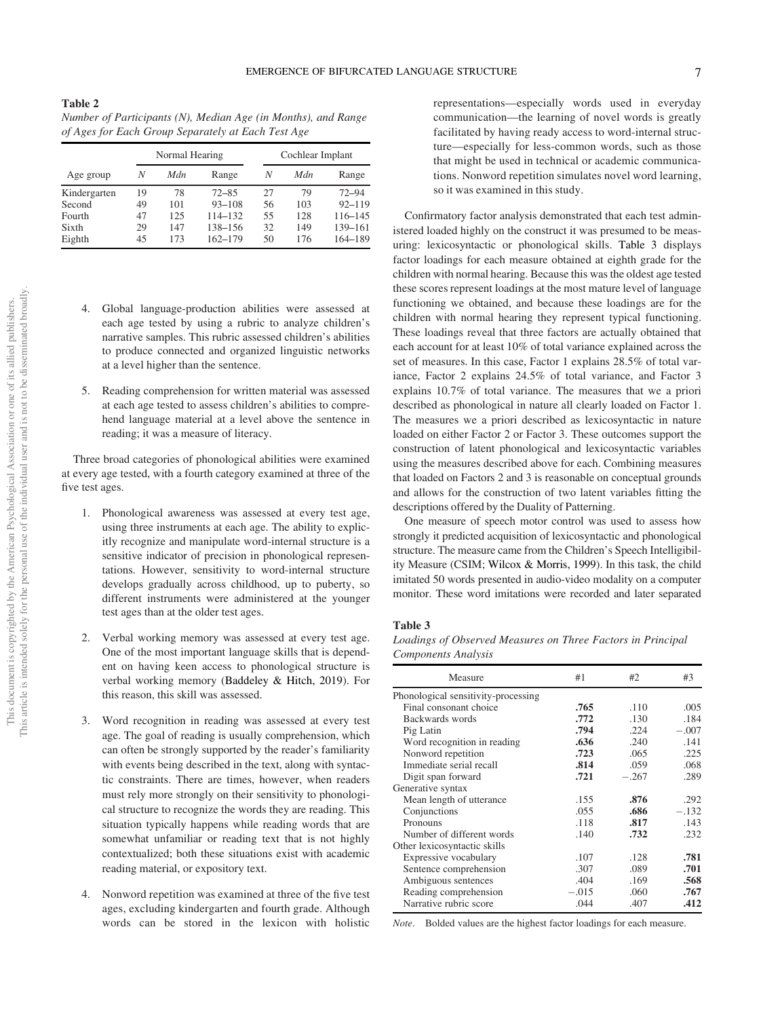# This article is intended solely for the personal use of the individual user and is not to be disseminated broadly.This article is intended solely for the personal use of the individual user and is not to be disseminated broadly This document is copyrighted by the American Psychological Association or one of its allied publishers. This document is copyrighted by the American Psychological Association or one of its allied publishers.

| Number of Participants (N), Median Age (in Months), and Range |
|---------------------------------------------------------------|
| of Ages for Each Group Separately at Each Test Age            |

Table 2

|              | Normal Hearing |     |            |    | Cochlear Implant |            |  |
|--------------|----------------|-----|------------|----|------------------|------------|--|
| Age group    | N              | Mdn | Range      | N  | Mdn              | Range      |  |
| Kindergarten | 19             | 78  | $72 - 85$  | 27 | 79               | $72 - 94$  |  |
| Second       | 49             | 101 | $93 - 108$ | 56 | 103              | $92 - 119$ |  |
| Fourth       | 47             | 125 | 114-132    | 55 | 128              | 116-145    |  |
| Sixth        | 29             | 147 | 138-156    | 32 | 149              | 139-161    |  |
| Eighth       | 45             | 173 | 162-179    | 50 | 176              | 164-189    |  |

- 4. Global language-production abilities were assessed at each age tested by using a rubric to analyze children's narrative samples. This rubric assessed children's abilities to produce connected and organized linguistic networks at a level higher than the sentence.
- 5. Reading comprehension for written material was assessed at each age tested to assess children's abilities to comprehend language material at a level above the sentence in reading; it was a measure of literacy.

Three broad categories of phonological abilities were examined at every age tested, with a fourth category examined at three of the five test ages.

- 1. Phonological awareness was assessed at every test age, using three instruments at each age. The ability to explicitly recognize and manipulate word-internal structure is a sensitive indicator of precision in phonological representations. However, sensitivity to word-internal structure develops gradually across childhood, up to puberty, so different instruments were administered at the younger test ages than at the older test ages.
- 2. Verbal working memory was assessed at every test age. One of the most important language skills that is dependent on having keen access to phonological structure is verbal working memory (Baddeley & Hitch, 2019). For this reason, this skill was assessed.
- 3. Word recognition in reading was assessed at every test age. The goal of reading is usually comprehension, which can often be strongly supported by the reader's familiarity with events being described in the text, along with syntactic constraints. There are times, however, when readers must rely more strongly on their sensitivity to phonological structure to recognize the words they are reading. This situation typically happens while reading words that are somewhat unfamiliar or reading text that is not highly contextualized; both these situations exist with academic reading material, or expository text.
- Nonword repetition was examined at three of the five test ages, excluding kindergarten and fourth grade. Although words can be stored in the lexicon with holistic

representations—especially words used in everyday communication—the learning of novel words is greatly facilitated by having ready access to word-internal structure—especially for less-common words, such as those that might be used in technical or academic communications. Nonword repetition simulates novel word learning, so it was examined in this study.

Confirmatory factor analysis demonstrated that each test administered loaded highly on the construct it was presumed to be measuring: lexicosyntactic or phonological skills. Table 3 displays factor loadings for each measure obtained at eighth grade for the children with normal hearing. Because this was the oldest age tested these scores represent loadings at the most mature level of language functioning we obtained, and because these loadings are for the children with normal hearing they represent typical functioning. These loadings reveal that three factors are actually obtained that each account for at least 10% of total variance explained across the set of measures. In this case, Factor 1 explains 28.5% of total variance, Factor 2 explains 24.5% of total variance, and Factor 3 explains 10.7% of total variance. The measures that we a priori described as phonological in nature all clearly loaded on Factor 1. The measures we a priori described as lexicosyntactic in nature loaded on either Factor 2 or Factor 3. These outcomes support the construction of latent phonological and lexicosyntactic variables using the measures described above for each. Combining measures that loaded on Factors 2 and 3 is reasonable on conceptual grounds and allows for the construction of two latent variables fitting the descriptions offered by the Duality of Patterning.

One measure of speech motor control was used to assess how strongly it predicted acquisition of lexicosyntactic and phonological structure. The measure came from the Children's Speech Intelligibility Measure (CSIM; Wilcox & Morris, 1999). In this task, the child imitated 50 words presented in audio-video modality on a computer monitor. These word imitations were recorded and later separated

### Table 3

Loadings of Observed Measures on Three Factors in Principal Components Analysis

| Measure                             | #1      | #2      | #3      |
|-------------------------------------|---------|---------|---------|
| Phonological sensitivity-processing |         |         |         |
| Final consonant choice              | .765    | .110    | .005    |
| Backwards words                     | .772    | .130    | .184    |
| Pig Latin                           | .794    | .224    | $-.007$ |
| Word recognition in reading         | .636    | .240    | .141    |
| Nonword repetition                  | .723    | .065    | .225    |
| Immediate serial recall             | .814    | .059    | .068    |
| Digit span forward                  | .721    | $-.267$ | .289    |
| Generative syntax                   |         |         |         |
| Mean length of utterance            | .155    | .876    | .292    |
| Conjunctions                        | .055    | .686    | $-.132$ |
| Pronouns                            | .118    | .817    | .143    |
| Number of different words           | .140    | .732    | .232    |
| Other lexicosyntactic skills        |         |         |         |
| Expressive vocabulary               | .107    | .128    | .781    |
| Sentence comprehension              | .307    | .089    | .701    |
| Ambiguous sentences                 | .404    | .169    | .568    |
| Reading comprehension               | $-.015$ | .060    | .767    |
| Narrative rubric score              | .044    | .407    | .412    |

Note. Bolded values are the highest factor loadings for each measure.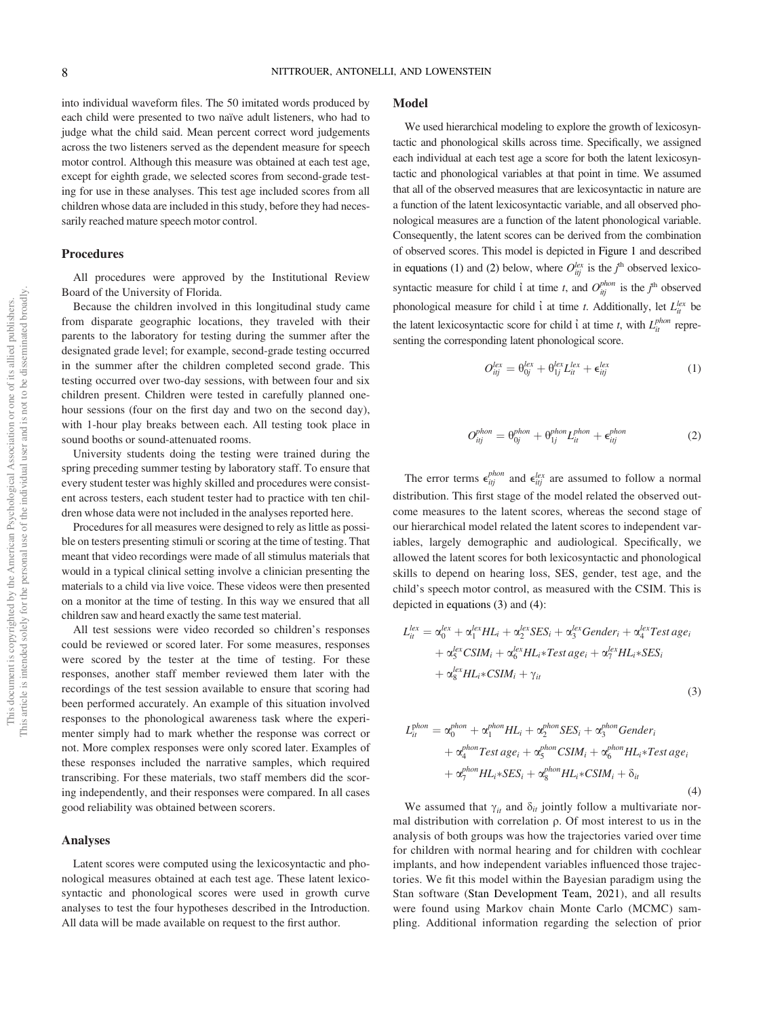into individual waveform files. The 50 imitated words produced by each child were presented to two naïve adult listeners, who had to judge what the child said. Mean percent correct word judgements across the two listeners served as the dependent measure for speech motor control. Although this measure was obtained at each test age, except for eighth grade, we selected scores from second-grade testing for use in these analyses. This test age included scores from all children whose data are included in this study, before they had necessarily reached mature speech motor control.

### Procedures

All procedures were approved by the Institutional Review Board of the University of Florida.

Because the children involved in this longitudinal study came from disparate geographic locations, they traveled with their parents to the laboratory for testing during the summer after the designated grade level; for example, second-grade testing occurred in the summer after the children completed second grade. This testing occurred over two-day sessions, with between four and six children present. Children were tested in carefully planned onehour sessions (four on the first day and two on the second day), with 1-hour play breaks between each. All testing took place in sound booths or sound-attenuated rooms.

University students doing the testing were trained during the spring preceding summer testing by laboratory staff. To ensure that every student tester was highly skilled and procedures were consistent across testers, each student tester had to practice with ten children whose data were not included in the analyses reported here.

Procedures for all measures were designed to rely as little as possible on testers presenting stimuli or scoring at the time of testing. That meant that video recordings were made of all stimulus materials that would in a typical clinical setting involve a clinician presenting the materials to a child via live voice. These videos were then presented on a monitor at the time of testing. In this way we ensured that all children saw and heard exactly the same test material.

All test sessions were video recorded so children's responses could be reviewed or scored later. For some measures, responses were scored by the tester at the time of testing. For these responses, another staff member reviewed them later with the recordings of the test session available to ensure that scoring had been performed accurately. An example of this situation involved responses to the phonological awareness task where the experimenter simply had to mark whether the response was correct or not. More complex responses were only scored later. Examples of these responses included the narrative samples, which required transcribing. For these materials, two staff members did the scoring independently, and their responses were compared. In all cases good reliability was obtained between scorers.

### Analyses

Latent scores were computed using the lexicosyntactic and phonological measures obtained at each test age. These latent lexicosyntactic and phonological scores were used in growth curve analyses to test the four hypotheses described in the Introduction. All data will be made available on request to the first author.

### Model

We used hierarchical modeling to explore the growth of lexicosyntactic and phonological skills across time. Specifically, we assigned each individual at each test age a score for both the latent lexicosyntactic and phonological variables at that point in time. We assumed that all of the observed measures that are lexicosyntactic in nature are a function of the latent lexicosyntactic variable, and all observed phonological measures are a function of the latent phonological variable. Consequently, the latent scores can be derived from the combination of observed scores. This model is depicted in Figure 1 and described in equations (1) and (2) below, where  $O_{ijj}^{lex}$  is the  $j^{th}$  observed lexicosyntactic measure for child  $\hat{i}$  at time t, and  $O_{ij}^{phon}$  is the  $j^{\text{th}}$  observed phonological measure for child  $\hat{i}$  at time t. Additionally, let  $L_{it}^{lex}$  be the latent lexicosyntactic score for child  $\hat{i}$  at time t, with  $L_{it}^{phon}$  representing the corresponding latent phonological score.

$$
O_{ij}^{lex} = \theta_{0j}^{lex} + \theta_{1j}^{lex} L_{it}^{lex} + \epsilon_{ij}^{lex}
$$
 (1)

$$
O_{ij}^{phon} = \Theta_{0j}^{phon} + \Theta_{1j}^{phon} L_{it}^{phon} + \epsilon_{itj}^{phon}
$$
 (2)

The error terms  $\epsilon_{ij}^{phon}$  and  $\epsilon_{ij}^{lex}$  are assumed to follow a normal distribution. This first stage of the model related the observed outcome measures to the latent scores, whereas the second stage of our hierarchical model related the latent scores to independent variables, largely demographic and audiological. Specifically, we allowed the latent scores for both lexicosyntactic and phonological skills to depend on hearing loss, SES, gender, test age, and the child's speech motor control, as measured with the CSIM. This is depicted in equations (3) and [\(4\):](#page-8-0)

$$
L_{ii}^{lex} = \alpha_0^{lex} + \alpha_1^{lex} HL_i + \alpha_2^{lex} SES_i + \alpha_3^{lex} Gender_i + \alpha_4^{lex} Test age_i
$$
  
+ 
$$
\alpha_5^{lex} CSIM_i + \alpha_6^{lex} HL_i * Test age_i + \alpha_7^{lex} HL_i * SES_i
$$
  
+ 
$$
\alpha_8^{lex} HL_i * CSIM_i + \gamma_{it}
$$
 (3)

<span id="page-8-0"></span>
$$
L_{it}^{phon} = \alpha_0^{phon} + \alpha_1^{phon} HL_i + \alpha_2^{phon} SES_i + \alpha_3^{phon} Gender_i
$$
  
+  $\alpha_4^{phon} Test age_i + \alpha_5^{phon} CSIM_i + \alpha_6^{phon} HL_i * Test age_i$   
+  $\alpha_7^{phon} HL_i * SES_i + \alpha_8^{phon} HL_i * CSIM_i + \delta_{it}$  (4)

We assumed that  $\gamma_{it}$  and  $\delta_{it}$  jointly follow a multivariate normal distribution with correlation  $\rho$ . Of most interest to us in the analysis of both groups was how the trajectories varied over time for children with normal hearing and for children with cochlear implants, and how independent variables influenced those trajectories. We fit this model within the Bayesian paradigm using the Stan software (Stan Development Team, 2021), and all results were found using Markov chain Monte Carlo (MCMC) sampling. Additional information regarding the selection of prior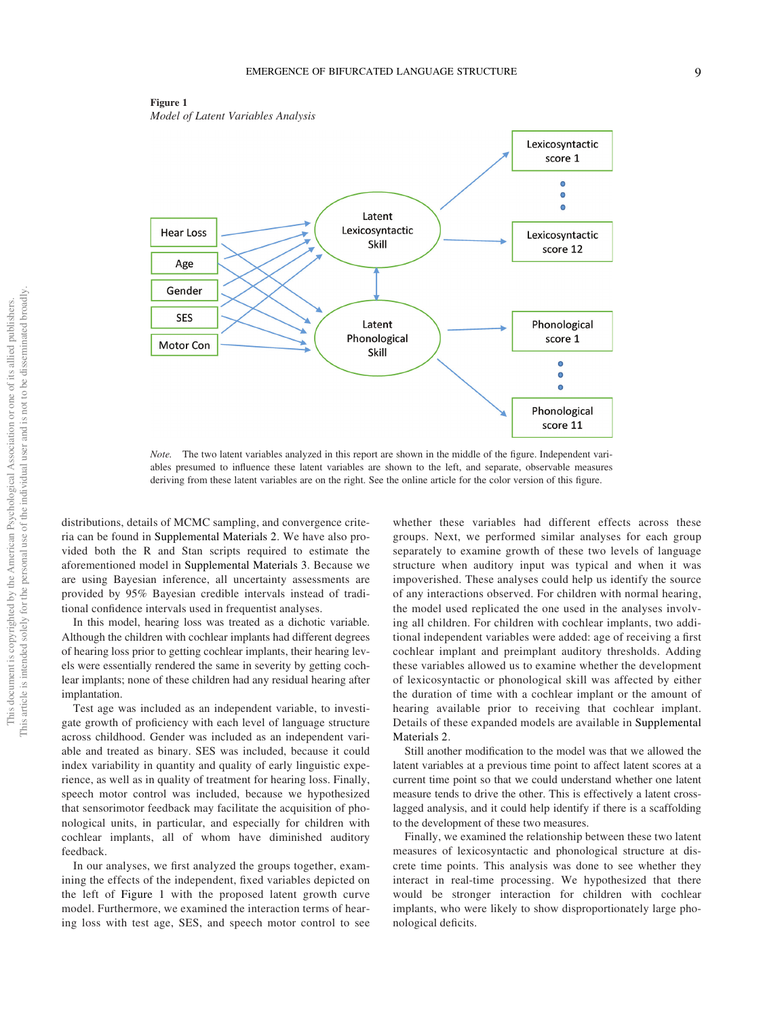



Note. The two latent variables analyzed in this report are shown in the middle of the figure. Independent variables presumed to influence these latent variables are shown to the left, and separate, observable measures deriving from these latent variables are on the right. See the online article for the color version of this figure.

distributions, details of MCMC sampling, and convergence criteria can be found in [Supplemental Materials 2](https://doi.org/10.1037/xge0001245.supp). We have also provided both the R and Stan scripts required to estimate the aforementioned model in [Supplemental Materials 3](https://doi.org/10.1037/xge0001245.supp). Because we are using Bayesian inference, all uncertainty assessments are provided by 95% Bayesian credible intervals instead of traditional confidence intervals used in frequentist analyses.

In this model, hearing loss was treated as a dichotic variable. Although the children with cochlear implants had different degrees of hearing loss prior to getting cochlear implants, their hearing levels were essentially rendered the same in severity by getting cochlear implants; none of these children had any residual hearing after implantation.

Test age was included as an independent variable, to investigate growth of proficiency with each level of language structure across childhood. Gender was included as an independent variable and treated as binary. SES was included, because it could index variability in quantity and quality of early linguistic experience, as well as in quality of treatment for hearing loss. Finally, speech motor control was included, because we hypothesized that sensorimotor feedback may facilitate the acquisition of phonological units, in particular, and especially for children with cochlear implants, all of whom have diminished auditory feedback.

In our analyses, we first analyzed the groups together, examining the effects of the independent, fixed variables depicted on the left of Figure 1 with the proposed latent growth curve model. Furthermore, we examined the interaction terms of hearing loss with test age, SES, and speech motor control to see

whether these variables had different effects across these groups. Next, we performed similar analyses for each group separately to examine growth of these two levels of language structure when auditory input was typical and when it was impoverished. These analyses could help us identify the source of any interactions observed. For children with normal hearing, the model used replicated the one used in the analyses involving all children. For children with cochlear implants, two additional independent variables were added: age of receiving a first cochlear implant and preimplant auditory thresholds. Adding these variables allowed us to examine whether the development of lexicosyntactic or phonological skill was affected by either the duration of time with a cochlear implant or the amount of hearing available prior to receiving that cochlear implant. Details of these expanded models are available in [Supplemental](https://doi.org/10.1037/xge0001245.supp) [Materials 2.](https://doi.org/10.1037/xge0001245.supp)

Still another modification to the model was that we allowed the latent variables at a previous time point to affect latent scores at a current time point so that we could understand whether one latent measure tends to drive the other. This is effectively a latent crosslagged analysis, and it could help identify if there is a scaffolding to the development of these two measures.

Finally, we examined the relationship between these two latent measures of lexicosyntactic and phonological structure at discrete time points. This analysis was done to see whether they interact in real-time processing. We hypothesized that there would be stronger interaction for children with cochlear implants, who were likely to show disproportionately large phonological deficits.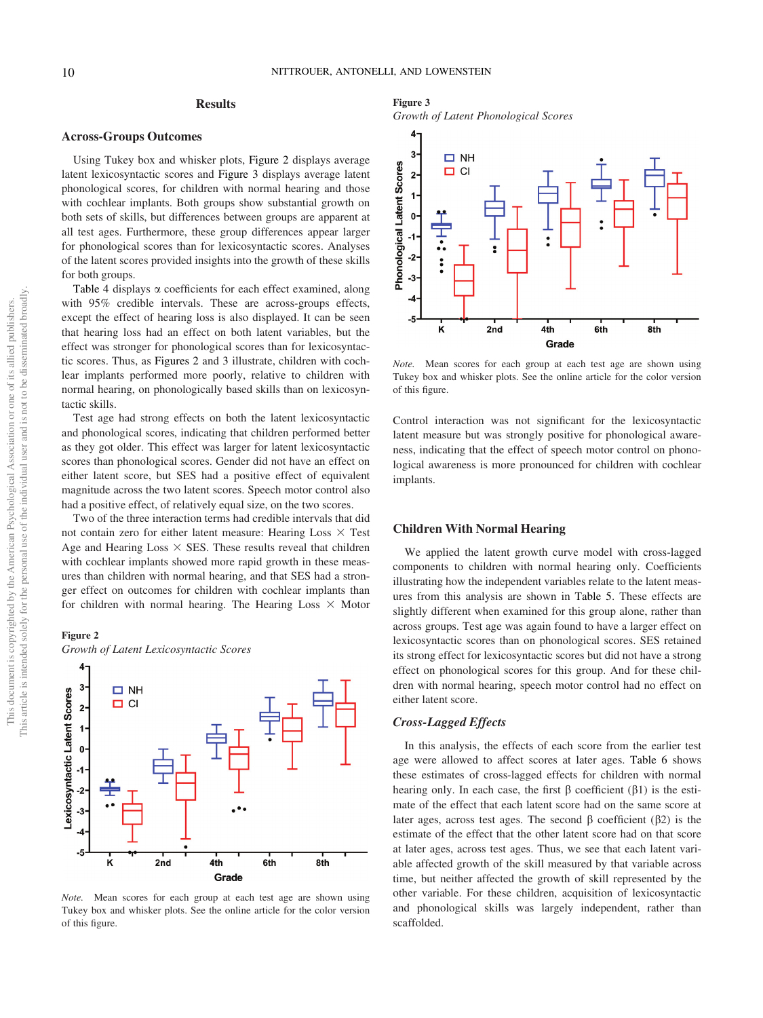### **Results**

### Across-Groups Outcomes

Using Tukey box and whisker plots, Figure 2 displays average latent lexicosyntactic scores and Figure 3 displays average latent phonological scores, for children with normal hearing and those with cochlear implants. Both groups show substantial growth on both sets of skills, but differences between groups are apparent at all test ages. Furthermore, these group differences appear larger for phonological scores than for lexicosyntactic scores. Analyses of the latent scores provided insights into the growth of these skills for both groups.

Table 4 displays  $\alpha$  coefficients for each effect examined, along with 95% credible intervals. These are across-groups effects, except the effect of hearing loss is also displayed. It can be seen that hearing loss had an effect on both latent variables, but the effect was stronger for phonological scores than for lexicosyntactic scores. Thus, as Figures 2 and 3 illustrate, children with cochlear implants performed more poorly, relative to children with normal hearing, on phonologically based skills than on lexicosyntactic skills.

Test age had strong effects on both the latent lexicosyntactic and phonological scores, indicating that children performed better as they got older. This effect was larger for latent lexicosyntactic scores than phonological scores. Gender did not have an effect on either latent score, but SES had a positive effect of equivalent magnitude across the two latent scores. Speech motor control also had a positive effect, of relatively equal size, on the two scores.

Two of the three interaction terms had credible intervals that did not contain zero for either latent measure: Hearing Loss  $\times$  Test Age and Hearing Loss  $\times$  SES. These results reveal that children with cochlear implants showed more rapid growth in these measures than children with normal hearing, and that SES had a stronger effect on outcomes for children with cochlear implants than for children with normal hearing. The Hearing Loss  $\times$  Motor

### Figure 2

Growth of Latent Lexicosyntactic Scores



Note. Mean scores for each group at each test age are shown using Tukey box and whisker plots. See the online article for the color version of this figure.

### Figure 3

Growth of Latent Phonological Scores



Note. Mean scores for each group at each test age are shown using Tukey box and whisker plots. See the online article for the color version of this figure.

Control interaction was not significant for the lexicosyntactic latent measure but was strongly positive for phonological awareness, indicating that the effect of speech motor control on phonological awareness is more pronounced for children with cochlear implants.

### Children With Normal Hearing

We applied the latent growth curve model with cross-lagged components to children with normal hearing only. Coefficients illustrating how the independent variables relate to the latent measures from this analysis are shown in Table 5. These effects are slightly different when examined for this group alone, rather than across groups. Test age was again found to have a larger effect on lexicosyntactic scores than on phonological scores. SES retained its strong effect for lexicosyntactic scores but did not have a strong effect on phonological scores for this group. And for these children with normal hearing, speech motor control had no effect on either latent score.

### Cross-Lagged Effects

In this analysis, the effects of each score from the earlier test age were allowed to affect scores at later ages. Table 6 shows these estimates of cross-lagged effects for children with normal hearing only. In each case, the first  $\beta$  coefficient ( $\beta$ 1) is the estimate of the effect that each latent score had on the same score at later ages, across test ages. The second  $\beta$  coefficient ( $\beta$ 2) is the estimate of the effect that the other latent score had on that score at later ages, across test ages. Thus, we see that each latent variable affected growth of the skill measured by that variable across time, but neither affected the growth of skill represented by the other variable. For these children, acquisition of lexicosyntactic and phonological skills was largely independent, rather than scaffolded.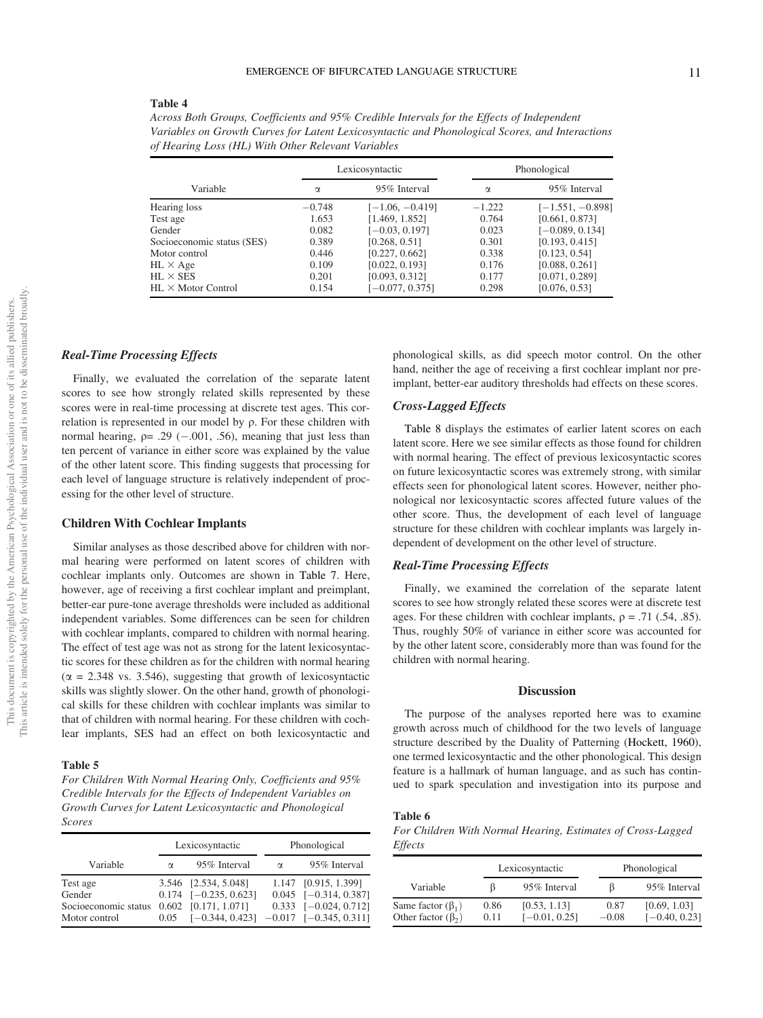### Table 4

Across Both Groups, Coefficients and 95% Credible Intervals for the Effects of Independent Variables on Growth Curves for Latent Lexicosyntactic and Phonological Scores, and Interactions of Hearing Loss (HL) With Other Relevant Variables

|                            | Lexicosyntactic |                   | Phonological |                    |
|----------------------------|-----------------|-------------------|--------------|--------------------|
| Variable                   | $\alpha$        | 95% Interval      | $\alpha$     | 95% Interval       |
| Hearing loss               | $-0.748$        | $[-1.06, -0.419]$ | $-1.222$     | $[-1.551, -0.898]$ |
| Test age                   | 1.653           | [1.469, 1.852]    | 0.764        | [0.661, 0.873]     |
| Gender                     | 0.082           | $[-0.03, 0.197]$  | 0.023        | $[-0.089, 0.134]$  |
| Socioeconomic status (SES) | 0.389           | [0.268, 0.51]     | 0.301        | [0.193, 0.415]     |
| Motor control              | 0.446           | [0.227, 0.662]    | 0.338        | [0.123, 0.54]      |
| $HL \times Age$            | 0.109           | [0.022, 0.193]    | 0.176        | [0.088, 0.261]     |
| $HL \times SES$            | 0.201           | [0.093, 0.312]    | 0.177        | [0.071, 0.289]     |
| $HL \times$ Motor Control  | 0.154           | $[-0.077, 0.375]$ | 0.298        | [0.076, 0.53]      |

### Real-Time Processing Effects

Finally, we evaluated the correlation of the separate latent scores to see how strongly related skills represented by these scores were in real-time processing at discrete test ages. This correlation is represented in our model by q. For these children with normal hearing,  $p = .29$  (-.001, .56), meaning that just less than ten percent of variance in either score was explained by the value of the other latent score. This finding suggests that processing for each level of language structure is relatively independent of processing for the other level of structure.

### Children With Cochlear Implants

Similar analyses as those described above for children with normal hearing were performed on latent scores of children with cochlear implants only. Outcomes are shown in Table 7. Here, however, age of receiving a first cochlear implant and preimplant, better-ear pure-tone average thresholds were included as additional independent variables. Some differences can be seen for children with cochlear implants, compared to children with normal hearing. The effect of test age was not as strong for the latent lexicosyntactic scores for these children as for the children with normal hearing  $(\alpha = 2.348 \text{ vs. } 3.546)$ , suggesting that growth of lexicosyntactic skills was slightly slower. On the other hand, growth of phonological skills for these children with cochlear implants was similar to that of children with normal hearing. For these children with cochlear implants, SES had an effect on both lexicosyntactic and

### Table 5

For Children With Normal Hearing Only, Coefficients and 95% Credible Intervals for the Effects of Independent Variables on Growth Curves for Latent Lexicosyntactic and Phonological Scores

|                                                             | Lexicosyntactic |                                                                                                                                    |          | Phonological                                                                 |
|-------------------------------------------------------------|-----------------|------------------------------------------------------------------------------------------------------------------------------------|----------|------------------------------------------------------------------------------|
| Variable                                                    | $\alpha$        | 95% Interval                                                                                                                       | $\alpha$ | 95% Interval                                                                 |
| Test age<br>Gender<br>Socioeconomic status<br>Motor control |                 | 3.546 [2.534, 5.048]<br>$0.174$ $[-0.235, 0.623]$<br>$0.602$ [0.171, 1.071]<br>$0.05$ $[-0.344, 0.423]$ $-0.017$ $[-0.345, 0.311]$ |          | 1.147 [0.915, 1.399]<br>$0.045$ [-0.314, 0.387]<br>$0.333$ $[-0.024, 0.712]$ |

phonological skills, as did speech motor control. On the other hand, neither the age of receiving a first cochlear implant nor preimplant, better-ear auditory thresholds had effects on these scores.

### Cross-Lagged Effects

[Table 8](#page-12-0) displays the estimates of earlier latent scores on each latent score. Here we see similar effects as those found for children with normal hearing. The effect of previous lexicosyntactic scores on future lexicosyntactic scores was extremely strong, with similar effects seen for phonological latent scores. However, neither phonological nor lexicosyntactic scores affected future values of the other score. Thus, the development of each level of language structure for these children with cochlear implants was largely independent of development on the other level of structure.

### Real-Time Processing Effects

Finally, we examined the correlation of the separate latent scores to see how strongly related these scores were at discrete test ages. For these children with cochlear implants,  $\rho = .71$  (.54, .85). Thus, roughly 50% of variance in either score was accounted for by the other latent score, considerably more than was found for the children with normal hearing.

### **Discussion**

The purpose of the analyses reported here was to examine growth across much of childhood for the two levels of language structure described by the Duality of Patterning (Hockett, 1960), one termed lexicosyntactic and the other phonological. This design feature is a hallmark of human language, and as such has continued to spark speculation and investigation into its purpose and

### Table 6

For Children With Normal Hearing, Estimates of Cross-Lagged **Effects** 

|                                                     |              | Lexicosyntactic                 |                 | Phonological                    |
|-----------------------------------------------------|--------------|---------------------------------|-----------------|---------------------------------|
| Variable                                            | ß            | 95% Interval                    | 15              | 95% Interval                    |
| Same factor $(\beta_1)$<br>Other factor $(\beta_2)$ | 0.86<br>0.11 | [0.53, 1.13]<br>$[-0.01, 0.25]$ | 0.87<br>$-0.08$ | [0.69, 1.03]<br>$[-0.40, 0.23]$ |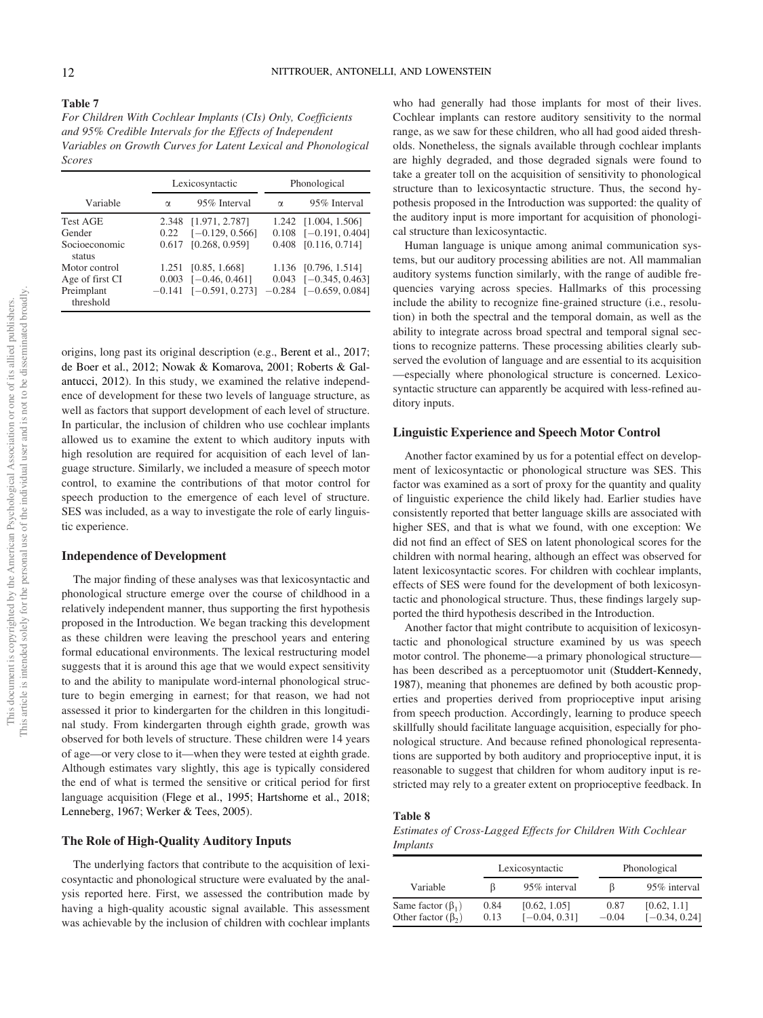For Children With Cochlear Implants (CIs) Only, Coefficients and 95% Credible Intervals for the Effects of Independent Variables on Growth Curves for Latent Lexical and Phonological Scores

|                         |          | Lexicosyntactic              |          | Phonological                 |  |  |
|-------------------------|----------|------------------------------|----------|------------------------------|--|--|
| Variable                | $\alpha$ | 95% Interval                 | $\alpha$ | 95% Interval                 |  |  |
| <b>Test AGE</b>         |          | 2.348 [1.971, 2.787]         |          | 1.242 [1.004, 1.506]         |  |  |
| Gender                  | 0.22     | $[-0.129, 0.566]$            |          | $0.108$ $[-0.191, 0.404]$    |  |  |
| Socioeconomic<br>status | 0.617    | [0.268, 0.959]               |          | 0.408 [0.116, 0.714]         |  |  |
| Motor control           | 1.251    | [0.85, 1.668]                |          | 1.136 [0.796, 1.514]         |  |  |
| Age of first CI         | 0.003    | $[-0.46, 0.461]$             |          | $0.043$ [-0.345, 0.463]      |  |  |
| Preimplant              |          | $-0.141$ [ $-0.591, 0.273$ ] |          | $-0.284$ [ $-0.659, 0.084$ ] |  |  |
| threshold               |          |                              |          |                              |  |  |

origins, long past its original description (e.g., Berent et al., 2017; de Boer et al., 2012; Nowak & Komarova, 2001; Roberts & Galantucci, 2012). In this study, we examined the relative independence of development for these two levels of language structure, as well as factors that support development of each level of structure. In particular, the inclusion of children who use cochlear implants allowed us to examine the extent to which auditory inputs with high resolution are required for acquisition of each level of language structure. Similarly, we included a measure of speech motor control, to examine the contributions of that motor control for speech production to the emergence of each level of structure. SES was included, as a way to investigate the role of early linguistic experience.

### Independence of Development

The major finding of these analyses was that lexicosyntactic and phonological structure emerge over the course of childhood in a relatively independent manner, thus supporting the first hypothesis proposed in the Introduction. We began tracking this development as these children were leaving the preschool years and entering formal educational environments. The lexical restructuring model suggests that it is around this age that we would expect sensitivity to and the ability to manipulate word-internal phonological structure to begin emerging in earnest; for that reason, we had not assessed it prior to kindergarten for the children in this longitudinal study. From kindergarten through eighth grade, growth was observed for both levels of structure. These children were 14 years of age—or very close to it—when they were tested at eighth grade. Although estimates vary slightly, this age is typically considered the end of what is termed the sensitive or critical period for first language acquisition (Flege et al., 1995; Hartshorne et al., 2018; Lenneberg, 1967; Werker & Tees, 2005).

### The Role of High-Quality Auditory Inputs

The underlying factors that contribute to the acquisition of lexicosyntactic and phonological structure were evaluated by the analysis reported here. First, we assessed the contribution made by having a high-quality acoustic signal available. This assessment was achievable by the inclusion of children with cochlear implants

who had generally had those implants for most of their lives. Cochlear implants can restore auditory sensitivity to the normal range, as we saw for these children, who all had good aided thresholds. Nonetheless, the signals available through cochlear implants are highly degraded, and those degraded signals were found to take a greater toll on the acquisition of sensitivity to phonological structure than to lexicosyntactic structure. Thus, the second hypothesis proposed in the Introduction was supported: the quality of the auditory input is more important for acquisition of phonological structure than lexicosyntactic.

Human language is unique among animal communication systems, but our auditory processing abilities are not. All mammalian auditory systems function similarly, with the range of audible frequencies varying across species. Hallmarks of this processing include the ability to recognize fine-grained structure (i.e., resolution) in both the spectral and the temporal domain, as well as the ability to integrate across broad spectral and temporal signal sections to recognize patterns. These processing abilities clearly subserved the evolution of language and are essential to its acquisition —especially where phonological structure is concerned. Lexicosyntactic structure can apparently be acquired with less-refined auditory inputs.

### Linguistic Experience and Speech Motor Control

Another factor examined by us for a potential effect on development of lexicosyntactic or phonological structure was SES. This factor was examined as a sort of proxy for the quantity and quality of linguistic experience the child likely had. Earlier studies have consistently reported that better language skills are associated with higher SES, and that is what we found, with one exception: We did not find an effect of SES on latent phonological scores for the children with normal hearing, although an effect was observed for latent lexicosyntactic scores. For children with cochlear implants, effects of SES were found for the development of both lexicosyntactic and phonological structure. Thus, these findings largely supported the third hypothesis described in the Introduction.

Another factor that might contribute to acquisition of lexicosyntactic and phonological structure examined by us was speech motor control. The phoneme—a primary phonological structure has been described as a perceptuomotor unit (Studdert-Kennedy, 1987), meaning that phonemes are defined by both acoustic properties and properties derived from proprioceptive input arising from speech production. Accordingly, learning to produce speech skillfully should facilitate language acquisition, especially for phonological structure. And because refined phonological representations are supported by both auditory and proprioceptive input, it is reasonable to suggest that children for whom auditory input is restricted may rely to a greater extent on proprioceptive feedback. In

### <span id="page-12-0"></span>Table 8

Estimates of Cross-Lagged Effects for Children With Cochlear Implants

|                                                     |              | Lexicosyntactic                 |                 | Phonological                   |
|-----------------------------------------------------|--------------|---------------------------------|-----------------|--------------------------------|
| Variable                                            | ß            | 95% interval                    | 15              | 95% interval                   |
| Same factor $(\beta_1)$<br>Other factor $(\beta_2)$ | 0.84<br>0.13 | [0.62, 1.05]<br>$[-0.04, 0.31]$ | 0.87<br>$-0.04$ | [0.62, 1.1]<br>$[-0.34, 0.24]$ |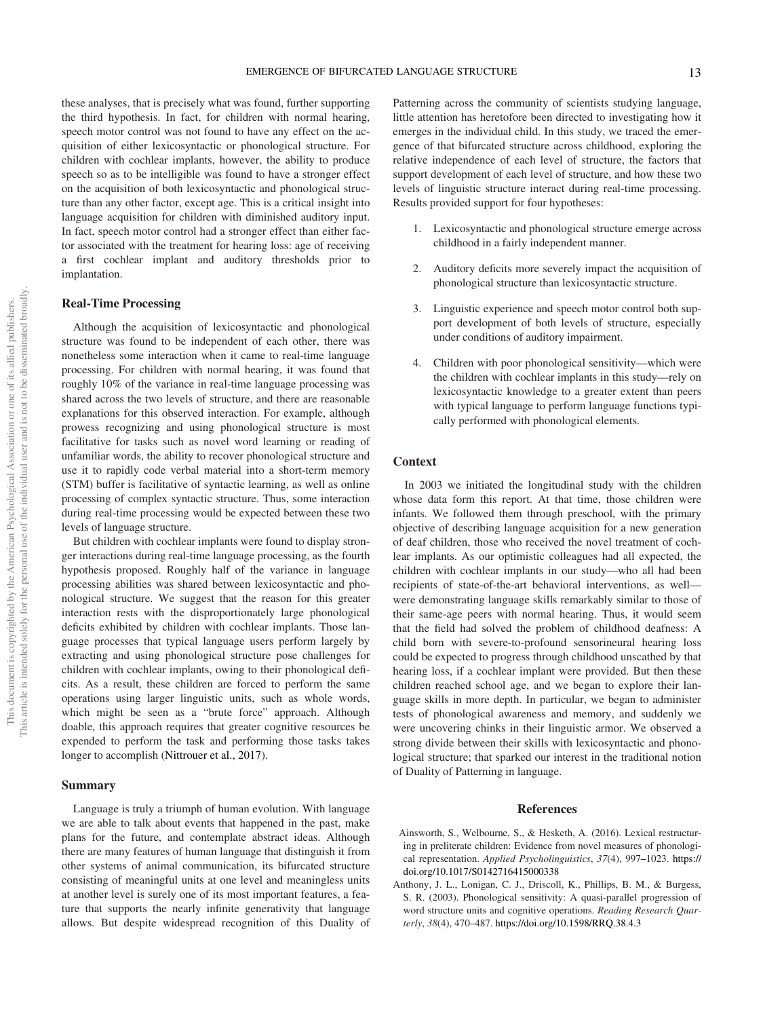these analyses, that is precisely what was found, further supporting the third hypothesis. In fact, for children with normal hearing, speech motor control was not found to have any effect on the acquisition of either lexicosyntactic or phonological structure. For children with cochlear implants, however, the ability to produce speech so as to be intelligible was found to have a stronger effect on the acquisition of both lexicosyntactic and phonological structure than any other factor, except age. This is a critical insight into language acquisition for children with diminished auditory input. In fact, speech motor control had a stronger effect than either factor associated with the treatment for hearing loss: age of receiving a first cochlear implant and auditory thresholds prior to implantation.

### Real-Time Processing

Although the acquisition of lexicosyntactic and phonological structure was found to be independent of each other, there was nonetheless some interaction when it came to real-time language processing. For children with normal hearing, it was found that roughly 10% of the variance in real-time language processing was shared across the two levels of structure, and there are reasonable explanations for this observed interaction. For example, although prowess recognizing and using phonological structure is most facilitative for tasks such as novel word learning or reading of unfamiliar words, the ability to recover phonological structure and use it to rapidly code verbal material into a short-term memory (STM) buffer is facilitative of syntactic learning, as well as online processing of complex syntactic structure. Thus, some interaction during real-time processing would be expected between these two levels of language structure.

But children with cochlear implants were found to display stronger interactions during real-time language processing, as the fourth hypothesis proposed. Roughly half of the variance in language processing abilities was shared between lexicosyntactic and phonological structure. We suggest that the reason for this greater interaction rests with the disproportionately large phonological deficits exhibited by children with cochlear implants. Those language processes that typical language users perform largely by extracting and using phonological structure pose challenges for children with cochlear implants, owing to their phonological deficits. As a result, these children are forced to perform the same operations using larger linguistic units, such as whole words, which might be seen as a "brute force" approach. Although doable, this approach requires that greater cognitive resources be expended to perform the task and performing those tasks takes longer to accomplish (Nittrouer et al., 2017).

### Summary

Language is truly a triumph of human evolution. With language we are able to talk about events that happened in the past, make plans for the future, and contemplate abstract ideas. Although there are many features of human language that distinguish it from other systems of animal communication, its bifurcated structure consisting of meaningful units at one level and meaningless units at another level is surely one of its most important features, a feature that supports the nearly infinite generativity that language allows. But despite widespread recognition of this Duality of

Patterning across the community of scientists studying language, little attention has heretofore been directed to investigating how it emerges in the individual child. In this study, we traced the emergence of that bifurcated structure across childhood, exploring the relative independence of each level of structure, the factors that support development of each level of structure, and how these two levels of linguistic structure interact during real-time processing. Results provided support for four hypotheses:

- 1. Lexicosyntactic and phonological structure emerge across childhood in a fairly independent manner.
- 2. Auditory deficits more severely impact the acquisition of phonological structure than lexicosyntactic structure.
- Linguistic experience and speech motor control both support development of both levels of structure, especially under conditions of auditory impairment.
- 4. Children with poor phonological sensitivity—which were the children with cochlear implants in this study—rely on lexicosyntactic knowledge to a greater extent than peers with typical language to perform language functions typically performed with phonological elements.

### Context

In 2003 we initiated the longitudinal study with the children whose data form this report. At that time, those children were infants. We followed them through preschool, with the primary objective of describing language acquisition for a new generation of deaf children, those who received the novel treatment of cochlear implants. As our optimistic colleagues had all expected, the children with cochlear implants in our study—who all had been recipients of state-of-the-art behavioral interventions, as well were demonstrating language skills remarkably similar to those of their same-age peers with normal hearing. Thus, it would seem that the field had solved the problem of childhood deafness: A child born with severe-to-profound sensorineural hearing loss could be expected to progress through childhood unscathed by that hearing loss, if a cochlear implant were provided. But then these children reached school age, and we began to explore their language skills in more depth. In particular, we began to administer tests of phonological awareness and memory, and suddenly we were uncovering chinks in their linguistic armor. We observed a strong divide between their skills with lexicosyntactic and phonological structure; that sparked our interest in the traditional notion of Duality of Patterning in language.

### References

- Ainsworth, S., Welbourne, S., & Hesketh, A. (2016). Lexical restructuring in preliterate children: Evidence from novel measures of phonological representation. Applied Psycholinguistics, 37(4), 997–1023. [https://](https://doi.org/10.1017/S0142716415000338) [doi.org/10.1017/S0142716415000338](https://doi.org/10.1017/S0142716415000338)
- Anthony, J. L., Lonigan, C. J., Driscoll, K., Phillips, B. M., & Burgess, S. R. (2003). Phonological sensitivity: A quasi-parallel progression of word structure units and cognitive operations. Reading Research Quarterly, 38(4), 470–487. <https://doi.org/10.1598/RRQ.38.4.3>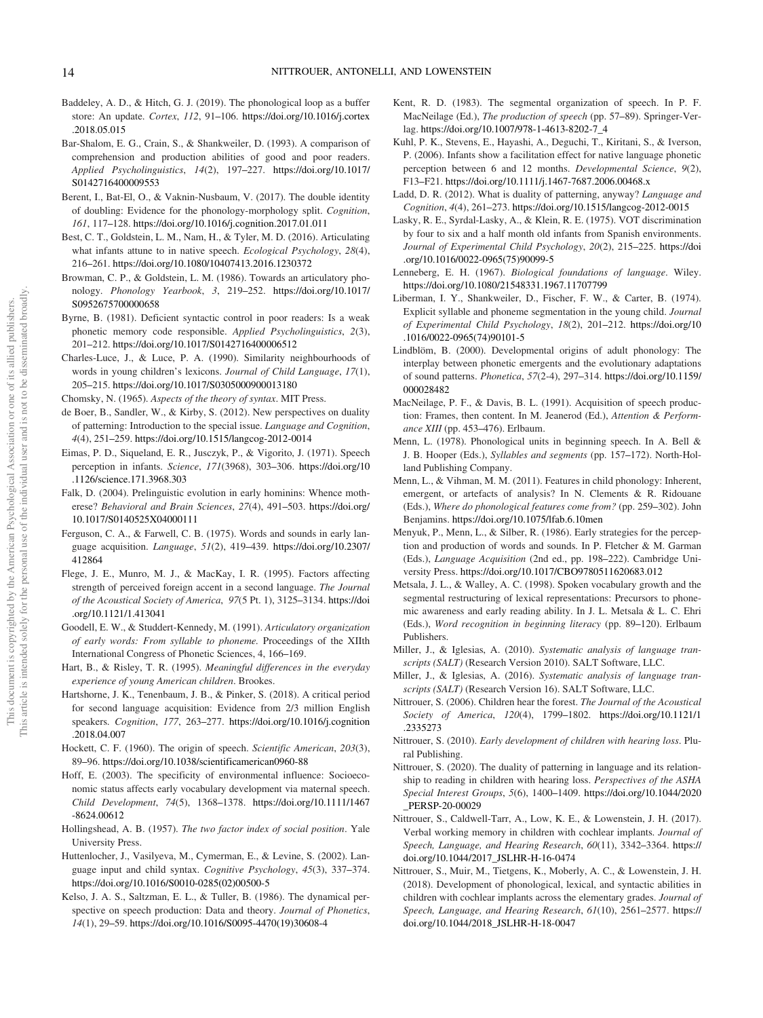- Baddeley, A. D., & Hitch, G. J. (2019). The phonological loop as a buffer store: An update. Cortex, 112, 91–106. [https://doi.org/10.1016/j.cortex](https://doi.org/10.1016/j.cortex.2018.05.015) [.2018.05.015](https://doi.org/10.1016/j.cortex.2018.05.015)
- Bar-Shalom, E. G., Crain, S., & Shankweiler, D. (1993). A comparison of comprehension and production abilities of good and poor readers. Applied Psycholinguistics, 14(2), 197–227. [https://doi.org/10.1017/](https://doi.org/10.1017/S0142716400009553) [S0142716400009553](https://doi.org/10.1017/S0142716400009553)
- Berent, I., Bat-El, O., & Vaknin-Nusbaum, V. (2017). The double identity of doubling: Evidence for the phonology-morphology split. Cognition, 161, 117–128. <https://doi.org/10.1016/j.cognition.2017.01.011>
- Best, C. T., Goldstein, L. M., Nam, H., & Tyler, M. D. (2016). Articulating what infants attune to in native speech. Ecological Psychology, 28(4), 216–261. <https://doi.org/10.1080/10407413.2016.1230372>
- Browman, C. P., & Goldstein, L. M. (1986). Towards an articulatory phonology. Phonology Yearbook, 3, 219–252. [https://doi.org/10.1017/](https://doi.org/10.1017/S0952675700000658) [S0952675700000658](https://doi.org/10.1017/S0952675700000658)
- Byrne, B. (1981). Deficient syntactic control in poor readers: Is a weak phonetic memory code responsible. Applied Psycholinguistics, 2(3), 201–212. <https://doi.org/10.1017/S0142716400006512>
- Charles-Luce, J., & Luce, P. A. (1990). Similarity neighbourhoods of words in young children's lexicons. Journal of Child Language, 17(1), 205–215. <https://doi.org/10.1017/S0305000900013180>
- Chomsky, N. (1965). Aspects of the theory of syntax. MIT Press.
- de Boer, B., Sandler, W., & Kirby, S. (2012). New perspectives on duality of patterning: Introduction to the special issue. Language and Cognition, 4(4), 251–259. <https://doi.org/10.1515/langcog-2012-0014>
- Eimas, P. D., Siqueland, E. R., Jusczyk, P., & Vigorito, J. (1971). Speech perception in infants. Science, 171(3968), 303–306. [https://doi.org/10](https://doi.org/10.1126/science.171.3968.303) [.1126/science.171.3968.303](https://doi.org/10.1126/science.171.3968.303)
- Falk, D. (2004). Prelinguistic evolution in early hominins: Whence motherese? Behavioral and Brain Sciences, 27(4), 491–503. [https://doi.org/](https://doi.org/10.1017/S0140525X04000111) [10.1017/S0140525X04000111](https://doi.org/10.1017/S0140525X04000111)
- Ferguson, C. A., & Farwell, C. B. (1975). Words and sounds in early language acquisition. Language, 51(2), 419–439. [https://doi.org/10.2307/](https://doi.org/10.2307/412864) [412864](https://doi.org/10.2307/412864)
- Flege, J. E., Munro, M. J., & MacKay, I. R. (1995). Factors affecting strength of perceived foreign accent in a second language. The Journal of the Acoustical Society of America, 97(5 Pt. 1), 3125–3134. [https://doi](https://doi.org/10.1121/1.413041) [.org/10.1121/1.413041](https://doi.org/10.1121/1.413041)
- Goodell, E. W., & Studdert-Kennedy, M. (1991). Articulatory organization of early words: From syllable to phoneme. Proceedings of the XIIth International Congress of Phonetic Sciences, 4, 166–169.
- Hart, B., & Risley, T. R. (1995). Meaningful differences in the everyday experience of young American children. Brookes.
- Hartshorne, J. K., Tenenbaum, J. B., & Pinker, S. (2018). A critical period for second language acquisition: Evidence from 2/3 million English speakers. Cognition, 177, 263–277. [https://doi.org/10.1016/j.cognition](https://doi.org/10.1016/j.cognition.2018.04.007) [.2018.04.007](https://doi.org/10.1016/j.cognition.2018.04.007)
- Hockett, C. F. (1960). The origin of speech. Scientific American, 203(3), 89–96. <https://doi.org/10.1038/scientificamerican0960-88>
- Hoff, E. (2003). The specificity of environmental influence: Socioeconomic status affects early vocabulary development via maternal speech. Child Development, 74(5), 1368–1378. [https://doi.org/10.1111/1467](https://doi.org/10.1111/1467-8624.00612) [-8624.00612](https://doi.org/10.1111/1467-8624.00612)
- Hollingshead, A. B. (1957). The two factor index of social position. Yale University Press.
- Huttenlocher, J., Vasilyeva, M., Cymerman, E., & Levine, S. (2002). Language input and child syntax. Cognitive Psychology, 45(3), 337–374. [https://doi.org/10.1016/S0010-0285\(02\)00500-5](https://doi.org/10.1016/S0010-0285(02)00500-5)
- Kelso, J. A. S., Saltzman, E. L., & Tuller, B. (1986). The dynamical perspective on speech production: Data and theory. Journal of Phonetics, 14(1), 29–59. [https://doi.org/10.1016/S0095-4470\(19\)30608-4](https://doi.org/10.1016/S0095-4470(19)30608-4)
- Kent, R. D. (1983). The segmental organization of speech. In P. F. MacNeilage (Ed.), The production of speech (pp. 57–89). Springer-Verlag. [https://doi.org/10.1007/978-1-4613-8202-7\\_4](https://doi.org/10.1007/978-1-4613-8202-7_4)
- Kuhl, P. K., Stevens, E., Hayashi, A., Deguchi, T., Kiritani, S., & Iverson, P. (2006). Infants show a facilitation effect for native language phonetic perception between 6 and 12 months. Developmental Science, 9(2), F13–F21. <https://doi.org/10.1111/j.1467-7687.2006.00468.x>
- Ladd, D. R. (2012). What is duality of patterning, anyway? Language and Cognition, 4(4), 261–273. <https://doi.org/10.1515/langcog-2012-0015>
- Lasky, R. E., Syrdal-Lasky, A., & Klein, R. E. (1975). VOT discrimination by four to six and a half month old infants from Spanish environments. Journal of Experimental Child Psychology, 20(2), 215–225. [https://doi](https://doi.org/10.1016/0022-0965(75)90099-5) [.org/10.1016/0022-0965\(75\)90099-5](https://doi.org/10.1016/0022-0965(75)90099-5)
- Lenneberg, E. H. (1967). Biological foundations of language. Wiley. <https://doi.org/10.1080/21548331.1967.11707799>
- Liberman, I. Y., Shankweiler, D., Fischer, F. W., & Carter, B. (1974). Explicit syllable and phoneme segmentation in the young child. Journal of Experimental Child Psychology, 18(2), 201–212. [https://doi.org/10](https://doi.org/10.1016/0022-0965(74)90101-5) [.1016/0022-0965\(74\)90101-5](https://doi.org/10.1016/0022-0965(74)90101-5)
- Lindblöm, B. (2000). Developmental origins of adult phonology: The interplay between phonetic emergents and the evolutionary adaptations of sound patterns. Phonetica, 57(2-4), 297–314. [https://doi.org/10.1159/](https://doi.org/10.1159/000028482) [000028482](https://doi.org/10.1159/000028482)
- MacNeilage, P. F., & Davis, B. L. (1991). Acquisition of speech production: Frames, then content. In M. Jeanerod (Ed.), Attention & Performance XIII (pp. 453–476). Erlbaum.
- Menn, L. (1978). Phonological units in beginning speech. In A. Bell & J. B. Hooper (Eds.), Syllables and segments (pp. 157–172). North-Holland Publishing Company.
- Menn, L., & Vihman, M. M. (2011). Features in child phonology: Inherent, emergent, or artefacts of analysis? In N. Clements & R. Ridouane (Eds.), Where do phonological features come from? (pp. 259–302). John Benjamins. <https://doi.org/10.1075/lfab.6.10men>
- Menyuk, P., Menn, L., & Silber, R. (1986). Early strategies for the perception and production of words and sounds. In P. Fletcher & M. Garman (Eds.), Language Acquisition (2nd ed., pp. 198–222). Cambridge University Press. <https://doi.org/10.1017/CBO9780511620683.012>
- Metsala, J. L., & Walley, A. C. (1998). Spoken vocabulary growth and the segmental restructuring of lexical representations: Precursors to phonemic awareness and early reading ability. In J. L. Metsala & L. C. Ehri (Eds.), Word recognition in beginning literacy (pp. 89–120). Erlbaum Publishers.
- Miller, J., & Iglesias, A. (2010). Systematic analysis of language transcripts (SALT) (Research Version 2010). SALT Software, LLC.
- Miller, J., & Iglesias, A. (2016). Systematic analysis of language transcripts (SALT) (Research Version 16). SALT Software, LLC.
- Nittrouer, S. (2006). Children hear the forest. The Journal of the Acoustical Society of America, 120(4), 1799–1802. [https://doi.org/10.1121/1](https://doi.org/10.1121/1.2335273) [.2335273](https://doi.org/10.1121/1.2335273)
- Nittrouer, S. (2010). Early development of children with hearing loss. Plural Publishing.
- Nittrouer, S. (2020). The duality of patterning in language and its relationship to reading in children with hearing loss. Perspectives of the ASHA Special Interest Groups, 5(6), 1400–1409. [https://doi.org/10.1044/2020](https://doi.org/10.1044/2020_PERSP-20-00029) [\\_PERSP-20-00029](https://doi.org/10.1044/2020_PERSP-20-00029)
- Nittrouer, S., Caldwell-Tarr, A., Low, K. E., & Lowenstein, J. H. (2017). Verbal working memory in children with cochlear implants. Journal of Speech, Language, and Hearing Research, 60(11), 3342–3364. [https://](https://doi.org/10.1044/2017_JSLHR-H-16-0474) [doi.org/10.1044/2017\\_JSLHR-H-16-0474](https://doi.org/10.1044/2017_JSLHR-H-16-0474)
- Nittrouer, S., Muir, M., Tietgens, K., Moberly, A. C., & Lowenstein, J. H. (2018). Development of phonological, lexical, and syntactic abilities in children with cochlear implants across the elementary grades. Journal of Speech, Language, and Hearing Research, 61(10), 2561–2577. [https://](https://doi.org/10.1044/2018_JSLHR-H-18-0047) [doi.org/10.1044/2018\\_JSLHR-H-18-0047](https://doi.org/10.1044/2018_JSLHR-H-18-0047)